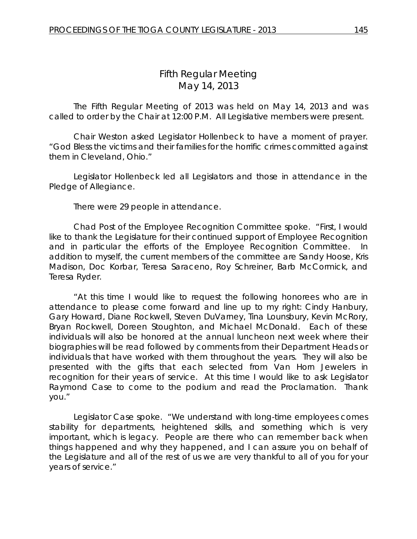# *Fifth Regular Meeting* May 14, 2013

The Fifth Regular Meeting of 2013 was held on May 14, 2013 and was called to order by the Chair at 12:00 P.M. All Legislative members were present.

Chair Weston asked Legislator Hollenbeck to have a moment of prayer. "God Bless the victims and their families for the horrific crimes committed against them in Cleveland, Ohio."

Legislator Hollenbeck led all Legislators and those in attendance in the Pledge of Allegiance.

There were 29 people in attendance.

Chad Post of the Employee Recognition Committee spoke. "First, I would like to thank the Legislature for their continued support of Employee Recognition and in particular the efforts of the Employee Recognition Committee. In addition to myself, the current members of the committee are Sandy Hoose, Kris Madison, Doc Korbar, Teresa Saraceno, Roy Schreiner, Barb McCormick, and Teresa Ryder.

"At this time I would like to request the following honorees who are in attendance to please come forward and line up to my right: Cindy Hanbury, Gary Howard, Diane Rockwell, Steven DuVarney, Tina Lounsbury, Kevin McRory, Bryan Rockwell, Doreen Stoughton, and Michael McDonald. Each of these individuals will also be honored at the annual luncheon next week where their biographies will be read followed by comments from their Department Heads or individuals that have worked with them throughout the years. They will also be presented with the gifts that each selected from Van Horn Jewelers in recognition for their years of service. At this time I would like to ask Legislator Raymond Case to come to the podium and read the Proclamation. Thank you."

Legislator Case spoke. "We understand with long-time employees comes stability for departments, heightened skills, and something which is very important, which is legacy. People are there who can remember back when things happened and why they happened, and I can assure you on behalf of the Legislature and all of the rest of us we are very thankful to all of you for your years of service."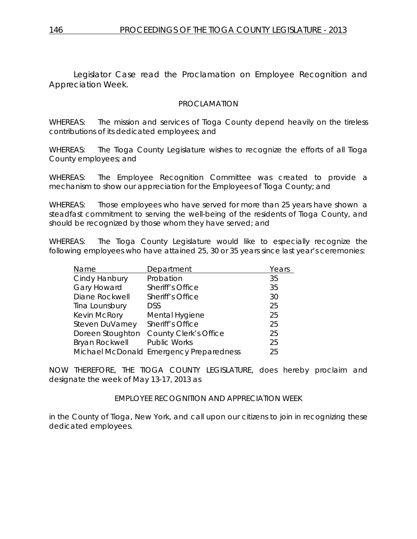Legislator Case read the Proclamation on Employee Recognition and Appreciation Week.

#### PROCLAMATION

WHEREAS: The mission and services of Tioga County depend heavily on the tireless contributions of its dedicated employees; and

WHEREAS: The Tioga County Legislature wishes to recognize the efforts of all Tioga County employees; and

WHEREAS: The Employee Recognition Committee was created to provide a mechanism to show our appreciation for the Employees of Tioga County; and

WHEREAS: Those employees who have served for more than 25 years have shown a steadfast commitment to serving the well-being of the residents of Tioga County, and should be recognized by those whom they have served; and

WHEREAS: The Tioga County Legislature would like to especially recognize the following employees who have attained 25, 30 or 35 years since last year's ceremonies:

| Name                  | Department                              | Years |
|-----------------------|-----------------------------------------|-------|
| Cindy Hanbury         | Probation                               | 35    |
| <b>Gary Howard</b>    | Sheriff's Office                        | 35    |
| Diane Rockwell        | Sheriff's Office                        | 30    |
| Tina Lounsbury        | <b>DSS</b>                              | 25    |
| Kevin McRory          | Mental Hygiene                          | 25    |
| Steven DuVarney       | Sheriff's Office                        | 25    |
| Doreen Stoughton      | <b>County Clerk's Office</b>            | 25    |
| <b>Bryan Rockwell</b> | <b>Public Works</b>                     | 25    |
|                       | Michael McDonald Emergency Preparedness | 25    |
|                       |                                         |       |

NOW THEREFORE, THE TIOGA COUNTY LEGISLATURE, does hereby proclaim and designate the week of May 13-17, 2013 as

#### EMPLOYEE RECOGNITION AND APPRECIATION WEEK

in the County of Tioga, New York, and call upon our citizens to join in recognizing these dedicated employees.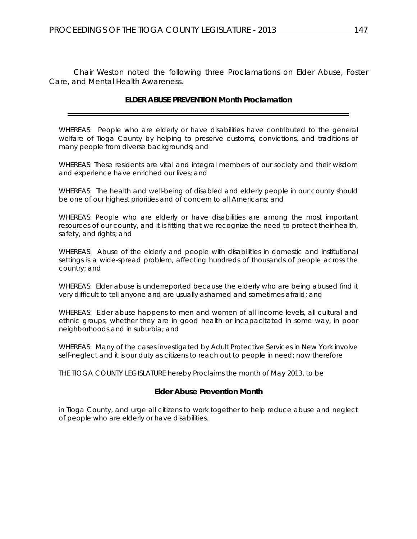Chair Weston noted the following three Proclamations on Elder Abuse, Foster Care, and Mental Health Awareness.

#### **ELDER ABUSE PREVENTION Month Proclamation**

WHEREAS: People who are elderly or have disabilities have contributed to the general welfare of Tioga County by helping to preserve customs, convictions, and traditions of many people from diverse backgrounds; and

WHEREAS: These residents are vital and integral members of our society and their wisdom and experience have enriched our lives; and

WHEREAS: The health and well-being of disabled and elderly people in our county should be one of our highest priorities and of concern to all Americans; and

WHEREAS: People who are elderly or have disabilities are among the most important resources of our county, and it is fitting that we recognize the need to protect their health, safety, and rights; and

WHEREAS: Abuse of the elderly and people with disabilities in domestic and institutional settings is a wide-spread problem, affecting hundreds of thousands of people across the country; and

WHEREAS: Elder abuse is underreported because the elderly who are being abused find it very difficult to tell anyone and are usually ashamed and sometimes afraid; and

WHEREAS: Elder abuse happens to men and women of all income levels, all cultural and ethnic groups, whether they are in good health or incapacitated in some way, in poor neighborhoods and in suburbia; and

WHEREAS: Many of the cases investigated by Adult Protective Services in New York involve self-neglect and it is our duty as citizens to reach out to people in need; now therefore

THE TIOGA COUNTY LEGISLATURE hereby Proclaims the month of May 2013, to be

#### **Elder Abuse Prevention Month**

in Tioga County, and urge all citizens to work together to help reduce abuse and neglect of people who are elderly or have disabilities.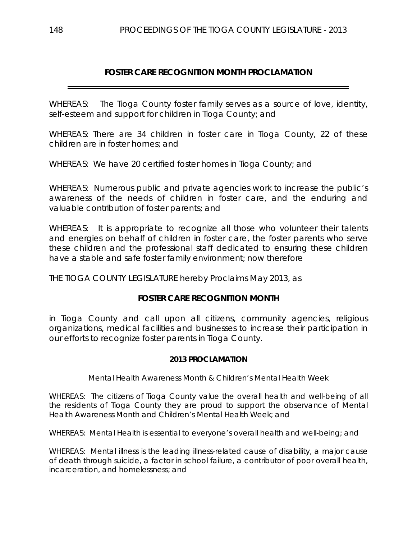## **FOSTER CARE RECOGNITION MONTH PROCLAMATION**

WHEREAS: The Tioga County foster family serves as a source of love, identity, self-esteem and support for children in Tioga County; and

WHEREAS: There are 34 children in foster care in Tioga County, 22 of these children are in foster homes; and

WHEREAS: We have 20 certified foster homes in Tioga County; and

WHEREAS: Numerous public and private agencies work to increase the public's awareness of the needs of children in foster care, and the enduring and valuable contribution of foster parents; and

WHEREAS: It is appropriate to recognize all those who volunteer their talents and energies on behalf of children in foster care, the foster parents who serve these children and the professional staff dedicated to ensuring these children have a stable and safe foster family environment; now therefore

THE TIOGA COUNTY LEGISLATURE hereby Proclaims May 2013, as

#### **FOSTER CARE RECOGNITION MONTH**

in Tioga County and call upon all citizens, community agencies, religious organizations, medical facilities and businesses to increase their participation in our efforts to recognize foster parents in Tioga County.

#### **2013 PROCLAMATION**

*Mental Health Awareness Month & Children's Mental Health Week* 

WHEREAS: The citizens of Tioga County value the overall health and well-being of all the residents of Tioga County they are proud to support the observance of Mental Health Awareness Month and Children's Mental Health Week; and

WHEREAS: Mental Health is essential to everyone's overall health and well-being; and

WHEREAS: Mental illness is the leading illness-related cause of disability, a major cause of death through suicide, a factor in school failure, a contributor of poor overall health, incarceration, and homelessness; and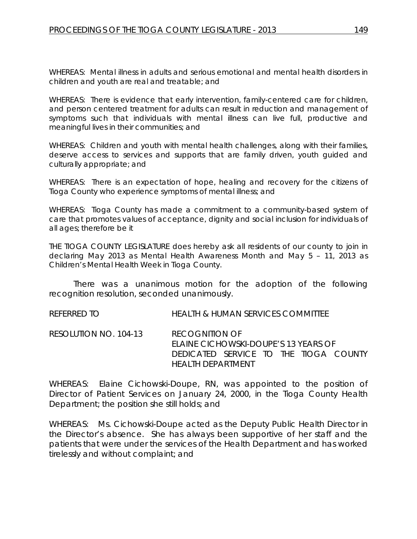WHEREAS: Mental illness in adults and serious emotional and mental health disorders in children and youth are real and treatable; and

WHEREAS: There is evidence that early intervention, family-centered care for children, and person centered treatment for adults can result in reduction and management of symptoms such that individuals with mental illness can live full, productive and meaningful lives in their communities; and

WHEREAS: Children and youth with mental health challenges, along with their families, deserve access to services and supports that are family driven, youth guided and culturally appropriate; and

WHEREAS: There is an expectation of hope, healing and recovery for the citizens of Tioga County who experience symptoms of mental illness; and

WHEREAS: Tioga County has made a commitment to a community-based system of care that promotes values of acceptance, dignity and social inclusion for individuals of all ages; therefore be it

THE TIOGA COUNTY LEGISLATURE does hereby ask all residents of our county to join in declaring May 2013 as *Mental Health Awareness Month* and May 5 – 11, 2013 as *Children's Mental Health Week* in Tioga County.

There was a unanimous motion for the adoption of the following recognition resolution, seconded unanimously.

REFERRED TO HEALTH & HUMAN SERVICES COMMITTEE

RESOLUTION NO. 104-13 *RECOGNITION OF ELAINE CICHOWSKI-DOUPE'S 13 YEARS OF DEDICATED SERVICE TO THE TIOGA COUNTY HEALTH DEPARTMENT*

WHEREAS: Elaine Cichowski-Doupe, RN, was appointed to the position of Director of Patient Services on January 24, 2000, in the Tioga County Health Department; the position she still holds; and

WHEREAS: Ms. Cichowski-Doupe acted as the Deputy Public Health Director in the Director's absence. She has always been supportive of her staff and the patients that were under the services of the Health Department and has worked tirelessly and without complaint; and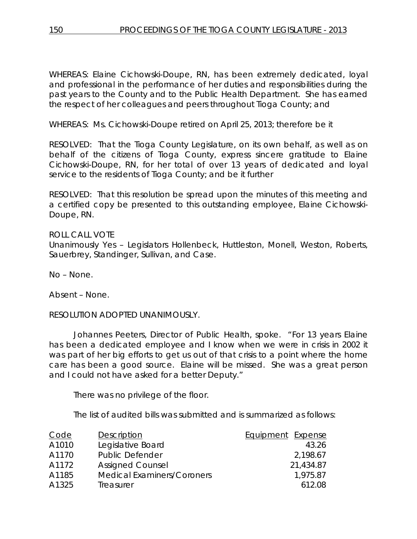WHEREAS: Elaine Cichowski-Doupe, RN, has been extremely dedicated, loyal and professional in the performance of her duties and responsibilities during the past years to the County and to the Public Health Department. She has earned the respect of her colleagues and peers throughout Tioga County; and

WHEREAS: Ms. Cichowski-Doupe retired on April 25, 2013; therefore be it

RESOLVED: That the Tioga County Legislature, on its own behalf, as well as on behalf of the citizens of Tioga County, express sincere gratitude to Elaine Cichowski-Doupe, RN, for her total of over 13 years of dedicated and loyal service to the residents of Tioga County; and be it further

RESOLVED: That this resolution be spread upon the minutes of this meeting and a certified copy be presented to this outstanding employee, Elaine Cichowski-Doupe, RN.

ROLL CALL VOTE Unanimously Yes – Legislators Hollenbeck, Huttleston, Monell, Weston, Roberts, Sauerbrey, Standinger, Sullivan, and Case.

No – None.

Absent – None.

RESOLUTION ADOPTED UNANIMOUSLY.

Johannes Peeters, Director of Public Health, spoke. "For 13 years Elaine has been a dedicated employee and I know when we were in crisis in 2002 it was part of her big efforts to get us out of that crisis to a point where the home care has been a good source. Elaine will be missed. She was a great person and I could not have asked for a better Deputy."

There was no privilege of the floor.

The list of audited bills was submitted and is summarized as follows:

| Code  | Description                       | Equipment Expense |
|-------|-----------------------------------|-------------------|
| A1010 | Legislative Board                 | 43.26             |
| A1170 | <b>Public Defender</b>            | 2,198.67          |
| A1172 | <b>Assigned Counsel</b>           | 21,434.87         |
| A1185 | <b>Medical Examiners/Coroners</b> | 1.975.87          |
| A1325 | Treasurer                         | 612.08            |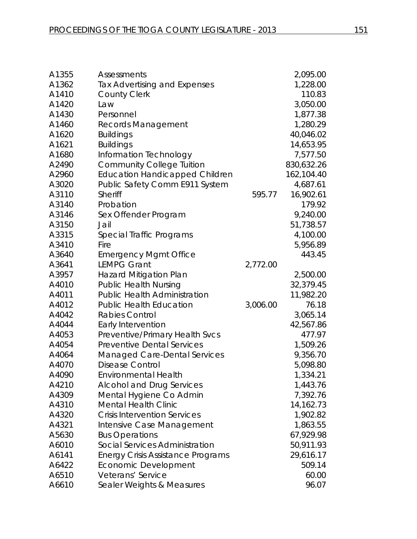| A1355 | <b>Assessments</b>                       |          | 2,095.00   |
|-------|------------------------------------------|----------|------------|
| A1362 | <b>Tax Advertising and Expenses</b>      |          | 1,228.00   |
| A1410 | <b>County Clerk</b>                      |          | 110.83     |
| A1420 | Law                                      |          | 3,050.00   |
| A1430 | Personnel                                |          | 1,877.38   |
| A1460 | <b>Records Management</b>                |          | 1,280.29   |
| A1620 | <b>Buildings</b>                         |          | 40,046.02  |
| A1621 | <b>Buildings</b>                         |          | 14,653.95  |
| A1680 | Information Technology                   |          | 7,577.50   |
| A2490 | <b>Community College Tuition</b>         |          | 830,632.26 |
| A2960 | <b>Education Handicapped Children</b>    |          | 162,104.40 |
| A3020 | Public Safety Comm E911 System           |          | 4,687.61   |
| A3110 | <b>Sheriff</b>                           | 595.77   | 16,902.61  |
| A3140 | Probation                                |          | 179.92     |
| A3146 | Sex Offender Program                     |          | 9,240.00   |
| A3150 | Jail                                     |          | 51,738.57  |
| A3315 | Special Traffic Programs                 |          | 4,100.00   |
| A3410 | Fire                                     |          | 5,956.89   |
| A3640 | <b>Emergency Mgmt Office</b>             |          | 443.45     |
| A3641 | <b>LEMPG Grant</b>                       | 2,772.00 |            |
| A3957 | <b>Hazard Mitigation Plan</b>            |          | 2,500.00   |
| A4010 | <b>Public Health Nursing</b>             |          | 32,379.45  |
| A4011 | <b>Public Health Administration</b>      |          | 11,982.20  |
| A4012 | <b>Public Health Education</b>           | 3,006.00 | 76.18      |
| A4042 | <b>Rabies Control</b>                    |          | 3,065.14   |
| A4044 | Early Intervention                       |          | 42,567.86  |
| A4053 | Preventive/Primary Health Svcs           |          | 477.97     |
| A4054 | <b>Preventive Dental Services</b>        |          | 1,509.26   |
| A4064 | <b>Managed Care-Dental Services</b>      |          | 9,356.70   |
| A4070 | <b>Disease Control</b>                   |          | 5,098.80   |
| A4090 | Environmental Health                     |          | 1,334.21   |
| A4210 | <b>Alcohol and Drug Services</b>         |          | 1,443.76   |
| A4309 | Mental Hygiene Co Admin                  |          | 7,392.76   |
| A4310 | <b>Mental Health Clinic</b>              |          | 14,162.73  |
| A4320 | <b>Crisis Intervention Services</b>      |          | 1,902.82   |
| A4321 | Intensive Case Management                |          | 1,863.55   |
| A5630 | <b>Bus Operations</b>                    |          | 67,929.98  |
| A6010 | Social Services Administration           |          | 50,911.93  |
| A6141 | <b>Energy Crisis Assistance Programs</b> |          | 29,616.17  |
| A6422 | Economic Development                     |          | 509.14     |
| A6510 | Veterans' Service                        |          | 60.00      |
| A6610 | Sealer Weights & Measures                |          | 96.07      |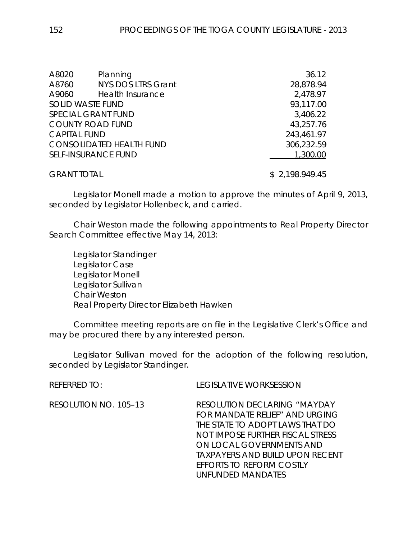| A8020                   | Planning                        | 36.12          |
|-------------------------|---------------------------------|----------------|
| A8760                   | <b>NYS DOS LTRS Grant</b>       | 28,878.94      |
| A9060                   | <b>Health Insurance</b>         | 2,478.97       |
| <b>SOLID WASTE FUND</b> |                                 | 93,117.00      |
|                         | <b>SPECIAL GRANT FUND</b>       | 3,406.22       |
|                         | <b>COUNTY ROAD FUND</b>         | 43,257.76      |
| <b>CAPITAL FUND</b>     |                                 | 243,461.97     |
|                         | <b>CONSOLIDATED HEALTH FUND</b> | 306,232.59     |
|                         | <b>SELF-INSURANCE FUND</b>      | 1,300.00       |
| <b>GRANT TOTAL</b>      |                                 | \$2,198.949.45 |

Legislator Monell made a motion to approve the minutes of April 9, 2013, seconded by Legislator Hollenbeck, and carried.

Chair Weston made the following appointments to Real Property Director Search Committee effective May 14, 2013:

Legislator Standinger Legislator Case Legislator Monell Legislator Sullivan Chair Weston Real Property Director Elizabeth Hawken

Committee meeting reports are on file in the Legislative Clerk's Office and may be procured there by any interested person.

Legislator Sullivan moved for the adoption of the following resolution, seconded by Legislator Standinger.

REFERRED TO: LEGISLATIVE WORKSESSION

*UNFUNDED MANDATES*

RESOLUTION NO. 105–13 *RESOLUTION DECLARING "MAYDAY FOR MANDATE RELIEF" AND URGING THE STATE TO ADOPT LAWS THAT DO NOT IMPOSE FURTHER FISCAL STRESS ON LOCAL GOVERNMENTS AND TAXPAYERS AND BUILD UPON RECENT EFFORTS TO REFORM COSTLY*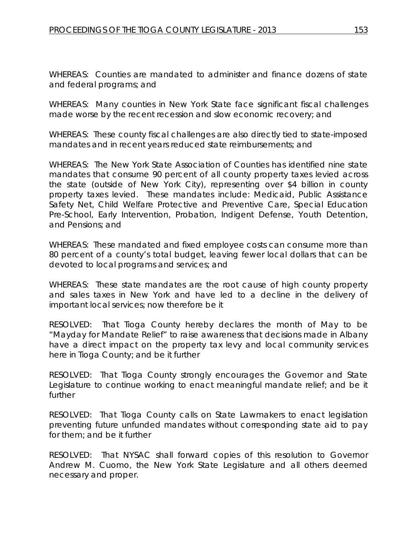WHEREAS: Counties are mandated to administer and finance dozens of state and federal programs; and

WHEREAS: Many counties in New York State face significant fiscal challenges made worse by the recent recession and slow economic recovery; and

WHEREAS: These county fiscal challenges are also directly tied to state-imposed mandates and in recent years reduced state reimbursements; and

WHEREAS: The New York State Association of Counties has identified nine state mandates that consume 90 percent of all county property taxes levied across the state (outside of New York City), representing over \$4 billion in county property taxes levied. These mandates include: Medicaid, Public Assistance Safety Net, Child Welfare Protective and Preventive Care, Special Education Pre-School, Early Intervention, Probation, Indigent Defense, Youth Detention, and Pensions; and

WHEREAS: These mandated and fixed employee costs can consume more than 80 percent of a county's total budget, leaving fewer local dollars that can be devoted to local programs and services; and

WHEREAS: These state mandates are the root cause of high county property and sales taxes in New York and have led to a decline in the delivery of important local services; now therefore be it

RESOLVED: That Tioga County hereby declares the month of May to be "Mayday for Mandate Relief" to raise awareness that decisions made in Albany have a direct impact on the property tax levy and local community services here in Tioga County; and be it further

RESOLVED: That Tioga County strongly encourages the Governor and State Legislature to continue working to enact meaningful mandate relief; and be it further

RESOLVED: That Tioga County calls on State Lawmakers to enact legislation preventing future unfunded mandates without corresponding state aid to pay for them; and be it further

RESOLVED: That NYSAC shall forward copies of this resolution to Governor Andrew M. Cuomo, the New York State Legislature and all others deemed necessary and proper.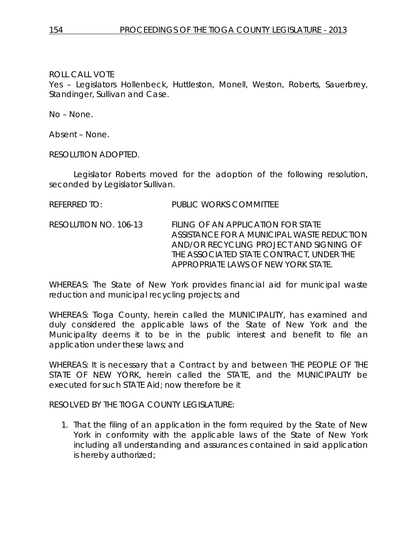Yes – Legislators Hollenbeck, Huttleston, Monell, Weston, Roberts, Sauerbrey, Standinger, Sullivan and Case.

No – None.

Absent – None.

RESOLUTION ADOPTED.

Legislator Roberts moved for the adoption of the following resolution, seconded by Legislator Sullivan.

REFERRED TO: PUBLIC WORKS COMMITTEE

RESOLUTION NO. 106-13 *FILING OF AN APPLICATION FOR STATE ASSISTANCE FOR A MUNICIPAL WASTE REDUCTION AND/OR RECYCLING PROJECT AND SIGNING OF THE ASSOCIATED STATE CONTRACT, UNDER THE APPROPRIATE LAWS OF NEW YORK STATE.*

WHEREAS: The State of New York provides financial aid for municipal waste reduction and municipal recycling projects; and

WHEREAS: Tioga County, herein called the MUNICIPALITY, has examined and duly considered the applicable laws of the State of New York and the Municipality deems it to be in the public interest and benefit to file an application under these laws; and

WHEREAS: It is necessary that a Contract by and between THE PEOPLE OF THE STATE OF NEW YORK, herein called the STATE, and the MUNICIPALITY be executed for such STATE Aid; now therefore be it

RESOLVED BY THE TIOGA COUNTY LEGISLATURE:

1. That the filing of an application in the form required by the State of New York in conformity with the applicable laws of the State of New York including all understanding and assurances contained in said application is hereby authorized;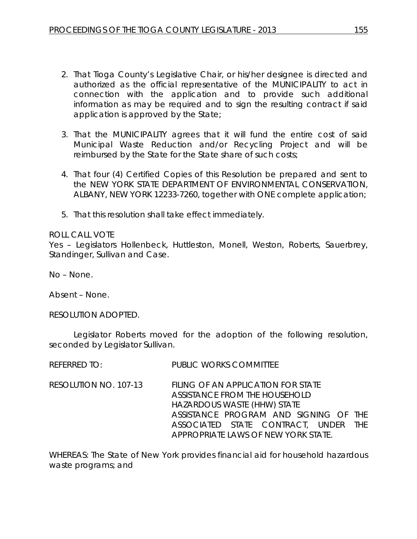- 2. That Tioga County's Legislative Chair, or his/her designee is directed and authorized as the official representative of the MUNICIPALITY to act in connection with the application and to provide such additional information as may be required and to sign the resulting contract if said application is approved by the State;
- 3. That the MUNICIPALITY agrees that it will fund the entire cost of said Municipal Waste Reduction and/or Recycling Project and will be reimbursed by the State for the State share of such costs;
- 4. That four (4) Certified Copies of this Resolution be prepared and sent to the NEW YORK STATE DEPARTMENT OF ENVIRONMENTAL CONSERVATION, ALBANY, NEW YORK 12233-7260, together with ONE complete application;
- 5. That this resolution shall take effect immediately.

REFERRED TO: PUBLIC WORKS COMMITTEE

## ROLL CALL VOTE

Yes – Legislators Hollenbeck, Huttleston, Monell, Weston, Roberts, Sauerbrey, Standinger, Sullivan and Case.

No – None.

Absent – None.

RESOLUTION ADOPTED.

Legislator Roberts moved for the adoption of the following resolution, seconded by Legislator Sullivan.

| RESOLUTION NO. 107-13 | FILING OF AN APPLICATION FOR STATE<br>ASSISTANCE FROM THE HOUSEHOLD<br>HAZARDOUS WASTE (HHW) STATE |
|-----------------------|----------------------------------------------------------------------------------------------------|
|                       | ASSISTANCE PROGRAM AND SIGNING OF THE<br>ASSOCIATED STATE CONTRACT, UNDER THE                      |
|                       | APPROPRIATE LAWS OF NEW YORK STATE.                                                                |

WHEREAS: The State of New York provides financial aid for household hazardous waste programs; and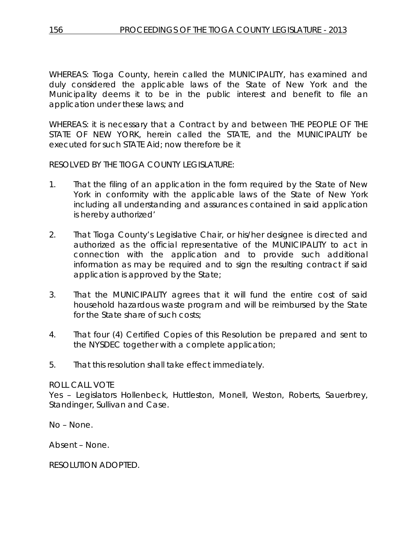WHEREAS: Tioga County, herein called the MUNICIPALITY, has examined and duly considered the applicable laws of the State of New York and the Municipality deems it to be in the public interest and benefit to file an application under these laws; and

WHEREAS: it is necessary that a Contract by and between THE PEOPLE OF THE STATE OF NEW YORK, herein called the STATE, and the MUNICIPALITY be executed for such STATE Aid; now therefore be it

RESOLVED BY THE TIOGA COUNTY LEGISLATURE:

- 1. That the filing of an application in the form required by the State of New York in conformity with the applicable laws of the State of New York including all understanding and assurances contained in said application is hereby authorized'
- 2. That Tioga County's Legislative Chair, or his/her designee is directed and authorized as the official representative of the MUNICIPALITY to act in connection with the application and to provide such additional information as may be required and to sign the resulting contract if said application is approved by the State;
- 3. That the MUNICIPALITY agrees that it will fund the entire cost of said household hazardous waste program and will be reimbursed by the State for the State share of such costs:
- 4. That four (4) Certified Copies of this Resolution be prepared and sent to the NYSDEC together with a complete application;
- 5. That this resolution shall take effect immediately.

## ROLL CALL VOTE

Yes - Legislators Hollenbeck, Huttleston, Monell, Weston, Roberts, Sauerbrey, Standinger, Sullivan and Case.

No – None.

Absent – None.

RESOLUTION ADOPTED.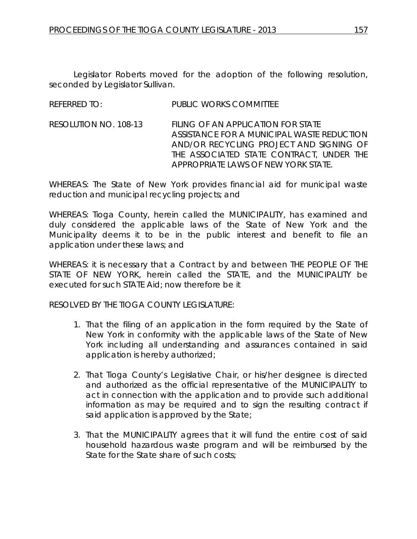Legislator Roberts moved for the adoption of the following resolution, seconded by Legislator Sullivan.

| <b>REFERRED TO:</b> | <b>PUBLIC WORKS COMMITTEE</b> |
|---------------------|-------------------------------|
|                     |                               |

RESOLUTION NO. 108-13 *FILING OF AN APPLICATION FOR STATE ASSISTANCE FOR A MUNICIPAL WASTE REDUCTION AND/OR RECYCLING PROJECT AND SIGNING OF THE ASSOCIATED STATE CONTRACT, UNDER THE APPROPRIATE LAWS OF NEW YORK STATE.*

WHEREAS: The State of New York provides financial aid for municipal waste reduction and municipal recycling projects; and

WHEREAS: Tioga County, herein called the MUNICIPALITY, has examined and duly considered the applicable laws of the State of New York and the Municipality deems it to be in the public interest and benefit to file an application under these laws; and

WHEREAS: it is necessary that a Contract by and between THE PEOPLE OF THE STATE OF NEW YORK, herein called the STATE, and the MUNICIPALITY be executed for such STATE Aid; now therefore be it

RESOLVED BY THE TIOGA COUNTY LEGISLATURE:

- 1. That the filing of an application in the form required by the State of New York in conformity with the applicable laws of the State of New York including all understanding and assurances contained in said application is hereby authorized;
- 2. That Tioga County's Legislative Chair, or his/her designee is directed and authorized as the official representative of the MUNICIPALITY to act in connection with the application and to provide such additional information as may be required and to sign the resulting contract if said application is approved by the State;
- 3. That the MUNICIPALITY agrees that it will fund the entire cost of said household hazardous waste program and will be reimbursed by the State for the State share of such costs;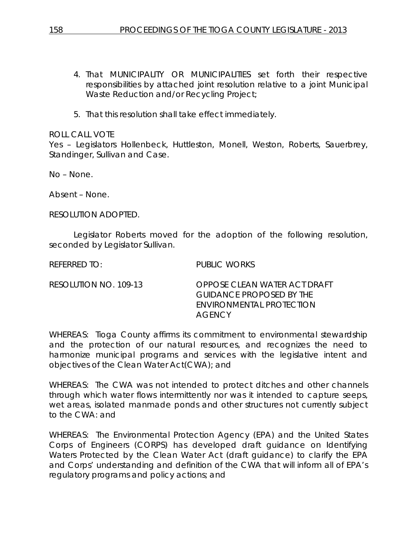- 4. That MUNICIPALITY OR MUNICIPALITIES set forth their respective responsibilities by attached joint resolution relative to a joint Municipal Waste Reduction and/or Recycling Project;
- 5. That this resolution shall take effect immediately.

Yes – Legislators Hollenbeck, Huttleston, Monell, Weston, Roberts, Sauerbrey, Standinger, Sullivan and Case.

No – None.

Absent – None.

RESOLUTION ADOPTED.

Legislator Roberts moved for the adoption of the following resolution, seconded by Legislator Sullivan.

REFERRED TO: PUBLIC WORKS

RESOLUTION NO. 109-13 *OPPOSE CLEAN WATER ACT DRAFT GUIDANCE PROPOSED BY THE ENVIRONMENTAL PROTECTION AGENCY*

WHEREAS: Tioga County affirms its commitment to environmental stewardship and the protection of our natural resources, and recognizes the need to harmonize municipal programs and services with the legislative intent and objectives of the Clean Water Act(CWA); and

WHEREAS: The CWA was not intended to protect ditches and other channels through which water flows intermittently nor was it intended to capture seeps, wet areas, isolated manmade ponds and other structures not currently subject to the CWA: and

WHEREAS: The Environmental Protection Agency (EPA) and the United States Corps of Engineers (CORPS) has developed draft guidance on Identifying Waters Protected by the Clean Water Act (draft guidance) to clarify the EPA and Corps' understanding and definition of the CWA that will inform all of EPA's regulatory programs and policy actions; and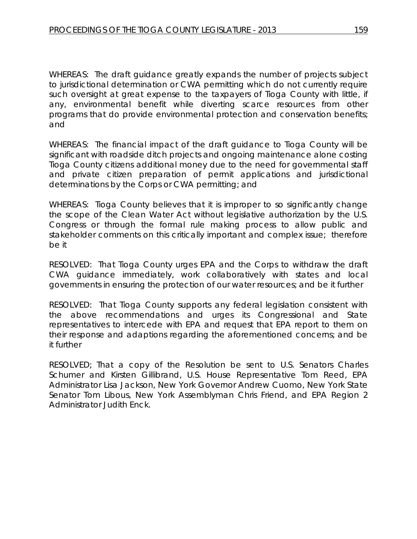WHEREAS: The draft guidance greatly expands the number of projects subject to jurisdictional determination or CWA permitting which do not currently require such oversight at great expense to the taxpayers of Tioga County with little, if any, environmental benefit while diverting scarce resources from other programs that do provide environmental protection and conservation benefits; and

WHEREAS: The financial impact of the draft guidance to Tioga County will be significant with roadside ditch projects and ongoing maintenance alone costing Tioga County citizens additional money due to the need for governmental staff and private citizen preparation of permit applications and jurisdictional determinations by the Corps or CWA permitting; and

WHEREAS: Tioga County believes that it is improper to so significantly change the scope of the Clean Water Act without legislative authorization by the U.S. Congress or through the formal rule making process to allow public and stakeholder comments on this critically important and complex issue; therefore be it

RESOLVED: That Tioga County urges EPA and the Corps to withdraw the draft CWA guidance immediately, work collaboratively with states and local governments in ensuring the protection of our water resources; and be it further

RESOLVED: That Tioga County supports any federal legislation consistent with the above recommendations and urges its Congressional and State representatives to intercede with EPA and request that EPA report to them on their response and adaptions regarding the aforementioned concerns; and be it further

RESOLVED; That a copy of the Resolution be sent to U.S. Senators Charles Schumer and Kirsten Gillibrand, U.S. House Representative Tom Reed, EPA Administrator Lisa Jackson, New York Governor Andrew Cuomo, New York State Senator Tom Libous, New York Assemblyman Chris Friend, and EPA Region 2 Administrator Judith Enck.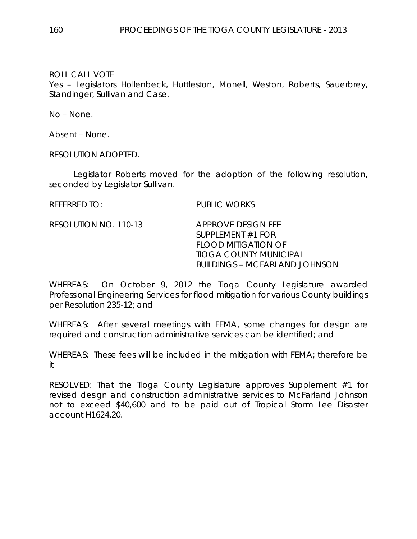Yes – Legislators Hollenbeck, Huttleston, Monell, Weston, Roberts, Sauerbrey, Standinger, Sullivan and Case.

No – None.

Absent – None.

RESOLUTION ADOPTED.

Legislator Roberts moved for the adoption of the following resolution, seconded by Legislator Sullivan.

REFERRED TO: PUBLIC WORKS

RESOLUTION NO. 110-13 *APPROVE DESIGN FEE*

*SUPPLEMENT #1 FOR FLOOD MITIGATION OF TIOGA COUNTY MUNICIPAL BUILDINGS – MCFARLAND JOHNSON*

WHEREAS: On October 9, 2012 the Tioga County Legislature awarded Professional Engineering Services for flood mitigation for various County buildings per Resolution 235-12; and

WHEREAS: After several meetings with FEMA, some changes for design are required and construction administrative services can be identified; and

WHEREAS: These fees will be included in the mitigation with FEMA; therefore be it

RESOLVED: That the Tioga County Legislature approves Supplement #1 for revised design and construction administrative services to McFarland Johnson not to exceed \$40,600 and to be paid out of Tropical Storm Lee Disaster account H1624.20.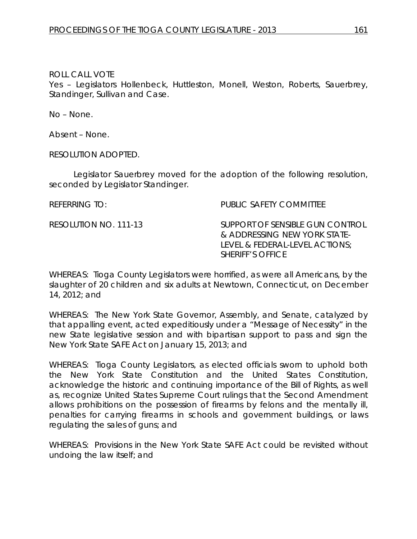Yes – Legislators Hollenbeck, Huttleston, Monell, Weston, Roberts, Sauerbrey, Standinger, Sullivan and Case.

No – None.

Absent – None.

RESOLUTION ADOPTED.

Legislator Sauerbrey moved for the adoption of the following resolution, seconded by Legislator Standinger.

REFERRING TO: PUBLIC SAFETY COMMITTEE

RESOLUTION NO. 111-13 *SUPPORT OF SENSIBLE GUN CONTROL & ADDRESSING NEW YORK STATE-LEVEL & FEDERAL-LEVEL ACTIONS; SHERIFF'S OFFICE*

WHEREAS: Tioga County Legislators were horrified, as were all Americans, by the slaughter of 20 children and six adults at Newtown, Connecticut, on December 14, 2012; and

WHEREAS: The New York State Governor, Assembly, and Senate, catalyzed by that appalling event, acted expeditiously under a "Message of Necessity" in the new State legislative session and with bipartisan support to pass and sign the New York State SAFE Act on January 15, 2013; and

WHEREAS: Tioga County Legislators, as elected officials sworn to uphold both the New York State Constitution and the United States Constitution, acknowledge the historic and continuing importance of the Bill of Rights, as well as, recognize United States Supreme Court rulings that the Second Amendment allows prohibitions on the possession of firearms by felons and the mentally ill, penalties for carrying firearms in schools and government buildings, or laws regulating the sales of guns; and

WHEREAS: Provisions in the New York State SAFE Act could be revisited without undoing the law itself; and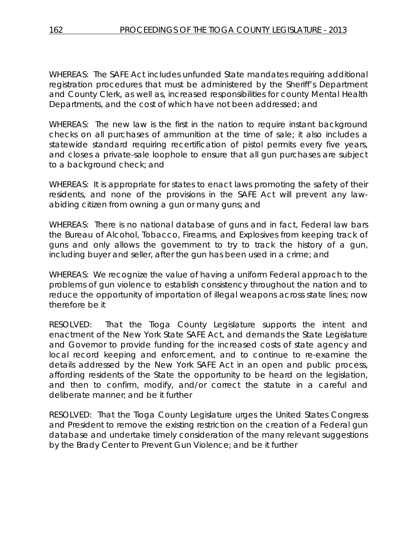WHEREAS: The SAFE Act includes unfunded State mandates requiring additional registration procedures that must be administered by the Sheriff's Department and County Clerk, as well as, increased responsibilities for county Mental Health Departments, and the cost of which have not been addressed; and

WHEREAS: The new law is the first in the nation to require instant background checks on all purchases of ammunition at the time of sale; it also includes a statewide standard requiring recertification of pistol permits every five years, and closes a private-sale loophole to ensure that all gun purchases are subject to a background check; and

WHEREAS: It is appropriate for states to enact laws promoting the safety of their residents, and none of the provisions in the SAFE Act will prevent any lawabiding citizen from owning a gun or many guns; and

WHEREAS: There is no national database of guns and in fact, Federal law bars the Bureau of Alcohol, Tobacco, Firearms, and Explosives from keeping track of guns and only allows the government to try to track the history of a gun, including buyer and seller, after the gun has been used in a crime; and

WHEREAS: We recognize the value of having a uniform Federal approach to the problems of gun violence to establish consistency throughout the nation and to reduce the opportunity of importation of illegal weapons across state lines; now therefore be it

RESOLVED: That the Tioga County Legislature supports the intent and enactment of the New York State SAFE Act, and demands the State Legislature and Governor to provide funding for the increased costs of state agency and local record keeping and enforcement, and to continue to re-examine the details addressed by the New York SAFE Act in an open and public process, affording residents of the State the opportunity to be heard on the legislation, and then to confirm, modify, and/or correct the statute in a careful and deliberate manner; and be it further

RESOLVED: That the Tioga County Legislature urges the United States Congress and President to remove the existing restriction on the creation of a Federal gun database and undertake timely consideration of the many relevant suggestions by the Brady Center to Prevent Gun Violence; and be it further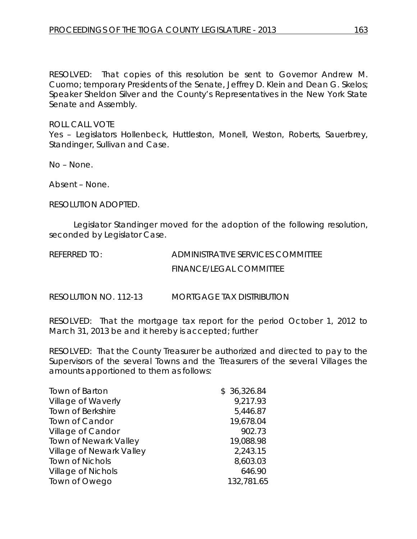RESOLVED: That copies of this resolution be sent to Governor Andrew M. Cuomo; temporary Presidents of the Senate, Jeffrey D. Klein and Dean G. Skelos; Speaker Sheldon Silver and the County's Representatives in the New York State Senate and Assembly.

#### ROLL CALL VOTE

Yes - Legislators Hollenbeck, Huttleston, Monell, Weston, Roberts, Sauerbrey, Standinger, Sullivan and Case.

No – None.

Absent – None.

RESOLUTION ADOPTED.

Legislator Standinger moved for the adoption of the following resolution, seconded by Legislator Case.

REFERRED TO: ADMINISTRATIVE SERVICES COMMITTEE FINANCE/LEGAL COMMITTEE

RESOLUTION NO. 112-13 *MORTGAGE TAX DISTRIBUTION*

RESOLVED: That the mortgage tax report for the period October 1, 2012 to March 31, 2013 be and it hereby is accepted; further

RESOLVED: That the County Treasurer be authorized and directed to pay to the Supervisors of the several Towns and the Treasurers of the several Villages the amounts apportioned to them as follows:

| Town of Barton               | \$36,326.84 |
|------------------------------|-------------|
| Village of Waverly           | 9,217.93    |
| Town of Berkshire            | 5,446.87    |
| Town of Candor               | 19,678.04   |
| Village of Candor            | 902.73      |
| <b>Town of Newark Valley</b> | 19,088.98   |
| Village of Newark Valley     | 2,243.15    |
| <b>Town of Nichols</b>       | 8,603.03    |
| <b>Village of Nichols</b>    | 646.90      |
| Town of Owego                | 132,781.65  |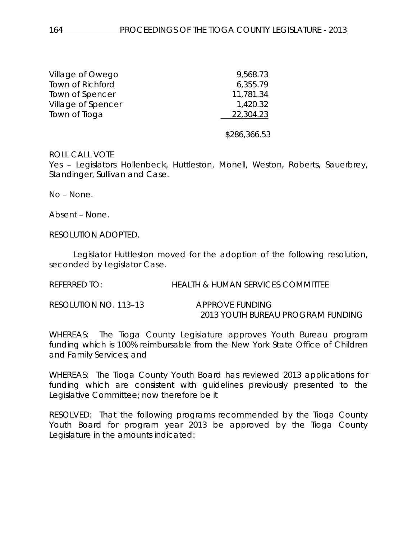| Village of Owego        | 9,568.73     |
|-------------------------|--------------|
| <b>Town of Richford</b> | 6,355.79     |
| Town of Spencer         | 11,781.34    |
| Village of Spencer      | 1,420.32     |
| Town of Tioga           | 22,304.23    |
|                         | \$286,366.53 |

Yes - Legislators Hollenbeck, Huttleston, Monell, Weston, Roberts, Sauerbrey, Standinger, Sullivan and Case.

No – None.

Absent – None.

RESOLUTION ADOPTED.

Legislator Huttleston moved for the adoption of the following resolution, seconded by Legislator Case.

REFERRED TO: HEALTH & HUMAN SERVICES COMMITTEE

| RESOLUTION NO. 113-13 | APPROVE FUNDING                   |
|-----------------------|-----------------------------------|
|                       | 2013 YOUTH BUREAU PROGRAM FUNDING |

WHEREAS: The Tioga County Legislature approves Youth Bureau program funding which is 100% reimbursable from the New York State Office of Children and Family Services; and

WHEREAS: The Tioga County Youth Board has reviewed 2013 applications for funding which are consistent with guidelines previously presented to the Legislative Committee; now therefore be it

RESOLVED: That the following programs recommended by the Tioga County Youth Board for program year 2013 be approved by the Tioga County Legislature in the amounts indicated: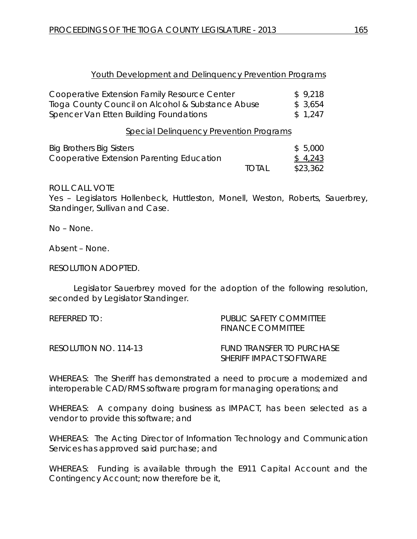| Youth Development and Delinguency Prevention Programs |  |  |
|-------------------------------------------------------|--|--|
|                                                       |  |  |

| Cooperative Extension Family Resource Center      | \$9,218  |
|---------------------------------------------------|----------|
| Tioga County Council on Alcohol & Substance Abuse | \$ 3,654 |
| Spencer Van Etten Building Foundations            | \$1.247  |

Special Delinquency Prevention Programs

| Big Brothers Big Sisters                  |              | \$5,000  |
|-------------------------------------------|--------------|----------|
| Cooperative Extension Parenting Education |              | \$4,243  |
|                                           | <b>TOTAL</b> | \$23,362 |

ROLL CALL VOTE

Yes – Legislators Hollenbeck, Huttleston, Monell, Weston, Roberts, Sauerbrey, Standinger, Sullivan and Case.

No – None.

Absent – None.

RESOLUTION ADOPTED.

Legislator Sauerbrey moved for the adoption of the following resolution, seconded by Legislator Standinger.

| REFERRED TO:          | PUBLIC SAFFTY COMMITTEE<br><b>FINANCE COMMITTEE</b>         |
|-----------------------|-------------------------------------------------------------|
| RESOLUTION NO. 114-13 | FUND TRANSFER TO PURCHASE<br><b>SHERIFE IMPACT SOFTWARE</b> |

WHEREAS: The Sheriff has demonstrated a need to procure a modernized and interoperable CAD/RMS software program for managing operations; and

WHEREAS: A company doing business as IMPACT, has been selected as a vendor to provide this software; and

WHEREAS: The Acting Director of Information Technology and Communication Services has approved said purchase; and

WHEREAS: Funding is available through the E911 Capital Account and the Contingency Account; now therefore be it,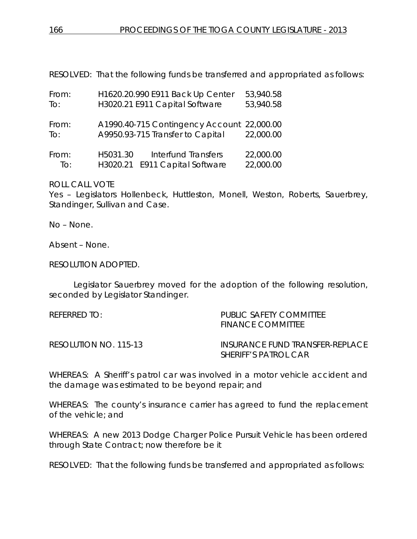RESOLVED: That the following funds be transferred and appropriated as follows:

| From:                      |                      | H1620.20.990 E911 Back Up Center                                               | 53,940.58              |
|----------------------------|----------------------|--------------------------------------------------------------------------------|------------------------|
| To:                        |                      | H3020.21 E911 Capital Software                                                 | 53,940.58              |
| From:<br>$\overline{1}$ O: |                      | A1990.40-715 Contingency Account 22,000.00<br>A9950.93-715 Transfer to Capital | 22,000.00              |
|                            |                      |                                                                                |                        |
| From:<br>To:               | H5031.30<br>H3020.21 | Interfund Transfers<br>E911 Capital Software                                   | 22,000.00<br>22,000.00 |

ROLL CALL VOTE

Yes – Legislators Hollenbeck, Huttleston, Monell, Weston, Roberts, Sauerbrey, Standinger, Sullivan and Case.

No – None.

Absent – None.

RESOLUTION ADOPTED.

Legislator Sauerbrey moved for the adoption of the following resolution, seconded by Legislator Standinger.

| PUBLIC SAFETY COMMITTEE<br>FINANCE COMMITTEE                   |
|----------------------------------------------------------------|
| INSURANCE FUND TRANSFER-REPLACE<br><b>SHERIFF'S PATROL CAR</b> |
|                                                                |

WHEREAS: A Sheriff's patrol car was involved in a motor vehicle accident and the damage was estimated to be beyond repair; and

WHEREAS: The county's insurance carrier has agreed to fund the replacement of the vehicle; and

WHEREAS: A new 2013 Dodge Charger Police Pursuit Vehicle has been ordered through State Contract; now therefore be it

RESOLVED: That the following funds be transferred and appropriated as follows: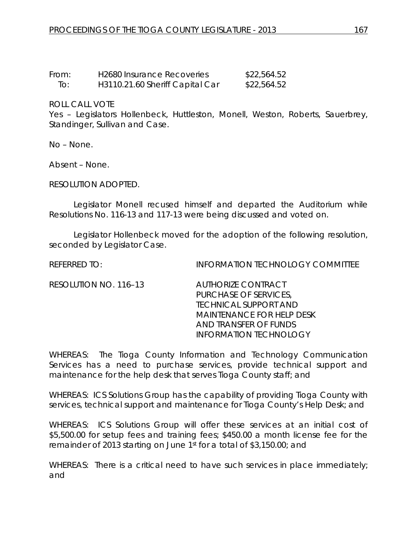| From: | <b>H2680 Insurance Recoveries</b> | \$22,564.52 |
|-------|-----------------------------------|-------------|
| To:   | H3110.21.60 Sheriff Capital Car   | \$22,564.52 |

Yes – Legislators Hollenbeck, Huttleston, Monell, Weston, Roberts, Sauerbrey, Standinger, Sullivan and Case.

No – None.

Absent – None.

RESOLUTION ADOPTED.

Legislator Monell recused himself and departed the Auditorium while Resolutions No. 116-13 and 117-13 were being discussed and voted on.

Legislator Hollenbeck moved for the adoption of the following resolution, seconded by Legislator Case.

REFERRED TO: INFORMATION TECHNOLOGY COMMITTEE

RESOLUTION NO. 116–13 *AUTHORIZE CONTRACT*

*PURCHASE OF SERVICES, TECHNICAL SUPPORT AND MAINTENANCE FOR HELP DESK AND TRANSFER OF FUNDS INFORMATION TECHNOLOGY*

WHEREAS: The Tioga County Information and Technology Communication Services has a need to purchase services, provide technical support and maintenance for the help desk that serves Tioga County staff; and

WHEREAS: ICS Solutions Group has the capability of providing Tioga County with services, technical support and maintenance for Tioga County's Help Desk; and

WHEREAS: ICS Solutions Group will offer these services at an initial cost of \$5,500.00 for setup fees and training fees; \$450.00 a month license fee for the remainder of 2013 starting on June 1st for a total of \$3,150.00; and

WHEREAS: There is a critical need to have such services in place immediately; and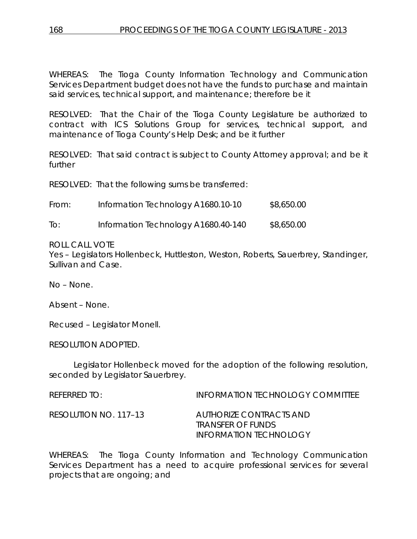WHEREAS: The Tioga County Information Technology and Communication Services Department budget does not have the funds to purchase and maintain said services, technical support, and maintenance; therefore be it

RESOLVED: That the Chair of the Tioga County Legislature be authorized to contract with ICS Solutions Group for services, technical support, and maintenance of Tioga County's Help Desk; and be it further

RESOLVED: That said contract is subject to County Attorney approval; and be it further

RESOLVED: That the following sums be transferred:

| From: | Information Technology A1680.10-10  | \$8,650.00 |
|-------|-------------------------------------|------------|
| To:   | Information Technology A1680.40-140 | \$8,650.00 |

## ROLL CALL VOTE

Yes – Legislators Hollenbeck, Huttleston, Weston, Roberts, Sauerbrey, Standinger, Sullivan and Case.

No – None.

Absent – None.

Recused – Legislator Monell.

RESOLUTION ADOPTED.

Legislator Hollenbeck moved for the adoption of the following resolution, seconded by Legislator Sauerbrey.

REFERRED TO: INFORMATION TECHNOLOGY COMMITTEE RESOLUTION NO. 117–13 *AUTHORIZE CONTRACTS AND TRANSFER OF FUNDS INFORMATION TECHNOLOGY*

WHEREAS: The Tioga County Information and Technology Communication Services Department has a need to acquire professional services for several projects that are ongoing; and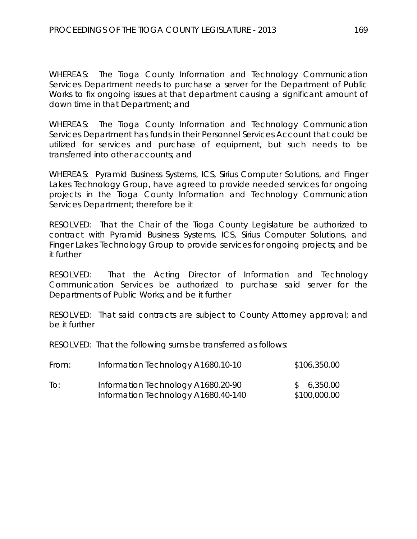WHEREAS: The Tioga County Information and Technology Communication Services Department needs to purchase a server for the Department of Public Works to fix ongoing issues at that department causing a significant amount of down time in that Department; and

WHEREAS: The Tioga County Information and Technology Communication Services Department has funds in their Personnel Services Account that could be utilized for services and purchase of equipment, but such needs to be transferred into other accounts; and

WHEREAS: Pyramid Business Systems, ICS, Sirius Computer Solutions, and Finger Lakes Technology Group, have agreed to provide needed services for ongoing projects in the Tioga County Information and Technology Communication Services Department; therefore be it

RESOLVED: That the Chair of the Tioga County Legislature be authorized to contract with Pyramid Business Systems, ICS, Sirius Computer Solutions, and Finger Lakes Technology Group to provide services for ongoing projects; and be it further

RESOLVED: That the Acting Director of Information and Technology Communication Services be authorized to purchase said server for the Departments of Public Works; and be it further

RESOLVED: That said contracts are subject to County Attorney approval; and be it further

RESOLVED: That the following sums be transferred as follows:

| From:          | Information Technology A1680.10-10  | \$106,350.00 |
|----------------|-------------------------------------|--------------|
| $\overline{1}$ | Information Technology A1680.20-90  | \$6,350.00   |
|                | Information Technology A1680.40-140 | \$100,000.00 |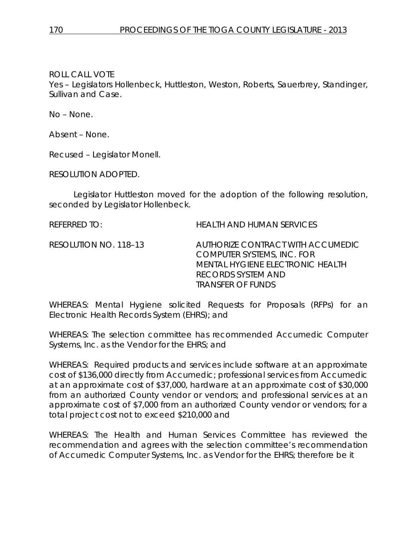Yes – Legislators Hollenbeck, Huttleston, Weston, Roberts, Sauerbrey, Standinger, Sullivan and Case.

No – None.

Absent – None.

Recused – Legislator Monell.

RESOLUTION ADOPTED.

Legislator Huttleston moved for the adoption of the following resolution, seconded by Legislator Hollenbeck.

REFERRED TO: HEALTH AND HUMAN SERVICES

RESOLUTION NO. 118–13 *AUTHORIZE CONTRACT WITH ACCUMEDIC COMPUTER SYSTEMS, INC. FOR MENTAL HYGIENE ELECTRONIC HEALTH RECORDS SYSTEM AND TRANSFER OF FUNDS*

WHEREAS: Mental Hygiene solicited Requests for Proposals (RFPs) for an Electronic Health Records System (EHRS); and

WHEREAS: The selection committee has recommended Accumedic Computer Systems, Inc. as the Vendor for the EHRS; and

WHEREAS: Required products and services include software at an approximate cost of \$136,000 directly from Accumedic; professional services from Accumedic at an approximate cost of \$37,000, hardware at an approximate cost of \$30,000 from an authorized County vendor or vendors; and professional services at an approximate cost of \$7,000 from an authorized County vendor or vendors; for a total project cost not to exceed \$210,000 and

WHEREAS: The Health and Human Services Committee has reviewed the recommendation and agrees with the selection committee's recommendation of Accumedic Computer Systems, Inc. as Vendor for the EHRS; therefore be it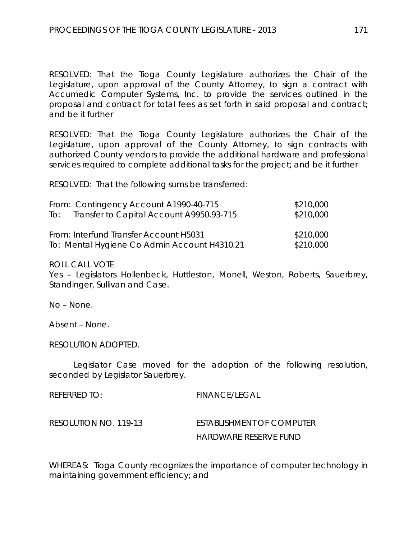RESOLVED: That the Tioga County Legislature authorizes the Chair of the Legislature, upon approval of the County Attorney, to sign a contract with Accumedic Computer Systems, Inc. to provide the services outlined in the proposal and contract for total fees as set forth in said proposal and contract; and be it further

RESOLVED: That the Tioga County Legislature authorizes the Chair of the Legislature, upon approval of the County Attorney, to sign contracts with authorized County vendors to provide the additional hardware and professional services required to complete additional tasks for the project; and be it further

RESOLVED: That the following sums be transferred:

| From: Contingency Account A1990-40-715       | \$210,000 |
|----------------------------------------------|-----------|
| To: Transfer to Capital Account A9950.93-715 | \$210,000 |
| From: Interfund Transfer Account H5031       | \$210,000 |
| To: Mental Hygiene Co Admin Account H4310.21 | \$210,000 |

ROLL CALL VOTE

Yes – Legislators Hollenbeck, Huttleston, Monell, Weston, Roberts, Sauerbrey, Standinger, Sullivan and Case.

No – None.

Absent – None.

RESOLUTION ADOPTED.

Legislator Case moved for the adoption of the following resolution, seconded by Legislator Sauerbrey.

REFERRED TO: FINANCE/LEGAL RESOLUTION NO. 119-13 *ESTABLISHMENT OF COMPUTER HARDWARE RESERVE FUND*

WHEREAS: Tioga County recognizes the importance of computer technology in maintaining government efficiency; and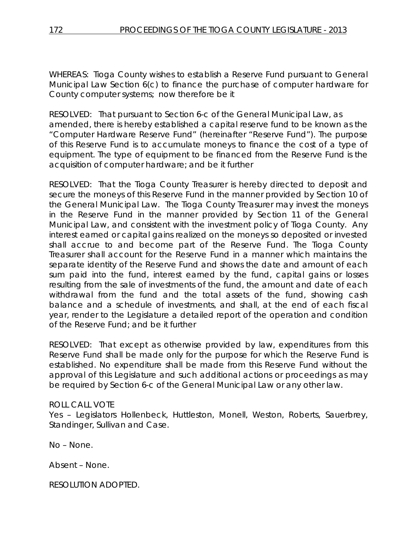WHEREAS: Tioga County wishes to establish a Reserve Fund pursuant to General Municipal Law Section 6(c) to finance the purchase of computer hardware for County computer systems; now therefore be it

RESOLVED: That pursuant to Section 6-c of the General Municipal Law, as amended, there is hereby established a capital reserve fund to be known as the "Computer Hardware Reserve Fund" (hereinafter "Reserve Fund"). The purpose of this Reserve Fund is to accumulate moneys to finance the cost of a type of equipment. The type of equipment to be financed from the Reserve Fund is the acquisition of computer hardware; and be it further

RESOLVED: That the Tioga County Treasurer is hereby directed to deposit and secure the moneys of this Reserve Fund in the manner provided by Section 10 of the General Municipal Law. The Tioga County Treasurer may invest the moneys in the Reserve Fund in the manner provided by Section 11 of the General Municipal Law, and consistent with the investment policy of Tioga County. Any interest earned or capital gains realized on the moneys so deposited or invested shall accrue to and become part of the Reserve Fund. The Tioga County Treasurer shall account for the Reserve Fund in a manner which maintains the separate identity of the Reserve Fund and shows the date and amount of each sum paid into the fund, interest earned by the fund, capital gains or losses resulting from the sale of investments of the fund, the amount and date of each withdrawal from the fund and the total assets of the fund, showing cash balance and a schedule of investments, and shall, at the end of each fiscal year, render to the Legislature a detailed report of the operation and condition of the Reserve Fund; and be it further

RESOLVED: That except as otherwise provided by law, expenditures from this Reserve Fund shall be made only for the purpose for which the Reserve Fund is established. No expenditure shall be made from this Reserve Fund without the approval of this Legislature and such additional actions or proceedings as may be required by Section 6-c of the General Municipal Law or any other law.

## ROLL CALL VOTE

Yes – Legislators Hollenbeck, Huttleston, Monell, Weston, Roberts, Sauerbrey, Standinger, Sullivan and Case.

No – None.

Absent – None.

RESOLUTION ADOPTED.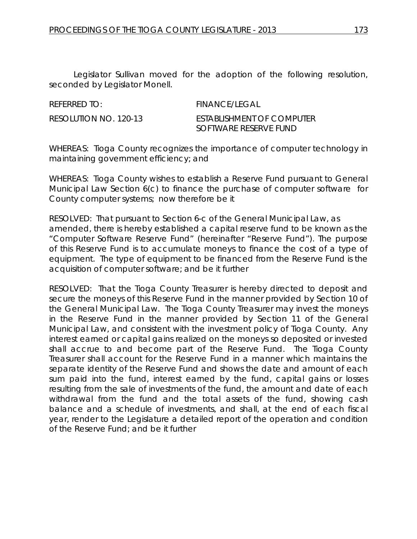Legislator Sullivan moved for the adoption of the following resolution, seconded by Legislator Monell.

REFERRED TO: FINANCE/LEGAL

RESOLUTION NO. 120-13 *ESTABLISHMENT OF COMPUTER SOFTWARE RESERVE FUND*

WHEREAS: Tioga County recognizes the importance of computer technology in maintaining government efficiency; and

WHEREAS: Tioga County wishes to establish a Reserve Fund pursuant to General Municipal Law Section 6(c) to finance the purchase of computer software for County computer systems; now therefore be it

RESOLVED: That pursuant to Section 6-c of the General Municipal Law, as amended, there is hereby established a capital reserve fund to be known as the "Computer Software Reserve Fund" (hereinafter "Reserve Fund"). The purpose of this Reserve Fund is to accumulate moneys to finance the cost of a type of equipment. The type of equipment to be financed from the Reserve Fund is the acquisition of computer software; and be it further

RESOLVED: That the Tioga County Treasurer is hereby directed to deposit and secure the moneys of this Reserve Fund in the manner provided by Section 10 of the General Municipal Law. The Tioga County Treasurer may invest the moneys in the Reserve Fund in the manner provided by Section 11 of the General Municipal Law, and consistent with the investment policy of Tioga County. Any interest earned or capital gains realized on the moneys so deposited or invested shall accrue to and become part of the Reserve Fund. The Tioga County Treasurer shall account for the Reserve Fund in a manner which maintains the separate identity of the Reserve Fund and shows the date and amount of each sum paid into the fund, interest earned by the fund, capital gains or losses resulting from the sale of investments of the fund, the amount and date of each withdrawal from the fund and the total assets of the fund, showing cash balance and a schedule of investments, and shall, at the end of each fiscal year, render to the Legislature a detailed report of the operation and condition of the Reserve Fund; and be it further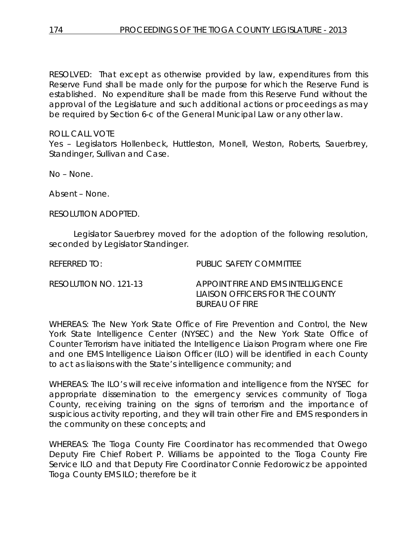RESOLVED: That except as otherwise provided by law, expenditures from this Reserve Fund shall be made only for the purpose for which the Reserve Fund is established. No expenditure shall be made from this Reserve Fund without the approval of the Legislature and such additional actions or proceedings as may be required by Section 6-c of the General Municipal Law or any other law.

## ROLL CALL VOTE

Yes – Legislators Hollenbeck, Huttleston, Monell, Weston, Roberts, Sauerbrey, Standinger, Sullivan and Case.

No – None.

Absent – None.

RESOLUTION ADOPTED.

Legislator Sauerbrey moved for the adoption of the following resolution, seconded by Legislator Standinger.

REFERRED TO: PUBLIC SAFETY COMMITTEE

| RESOLUTION NO. 121-13 | APPOINT FIRE AND EMS INTELLIGENCE |
|-----------------------|-----------------------------------|
|                       | LIAISON OFFICERS FOR THE COUNTY   |
|                       | <b>BUREAU OF FIRE</b>             |

WHEREAS: The New York State Office of Fire Prevention and Control, the New York State Intelligence Center (NYSEC) and the New York State Office of Counter Terrorism have initiated the Intelligence Liaison Program where one Fire and one EMS Intelligence Liaison Officer (ILO) will be identified in each County to act as liaisons with the State's intelligence community; and

WHEREAS: The ILO's will receive information and intelligence from the NYSEC for appropriate dissemination to the emergency services community of Tioga County, receiving training on the signs of terrorism and the importance of suspicious activity reporting, and they will train other Fire and EMS responders in the community on these concepts; and

WHEREAS: The Tioga County Fire Coordinator has recommended that Owego Deputy Fire Chief Robert P. Williams be appointed to the Tioga County Fire Service ILO and that Deputy Fire Coordinator Connie Fedorowicz be appointed Tioga County EMS ILO; therefore be it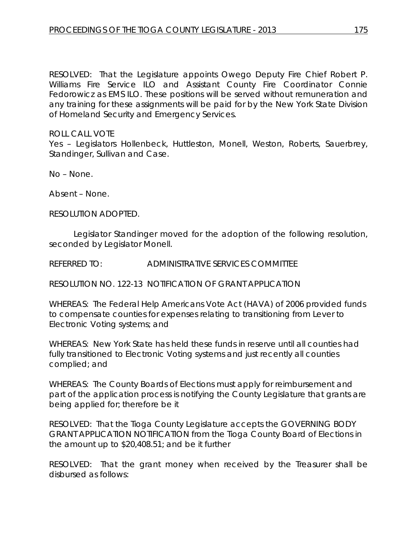RESOLVED: That the Legislature appoints Owego Deputy Fire Chief Robert P. Williams Fire Service ILO and Assistant County Fire Coordinator Connie Fedorowicz as EMS ILO. These positions will be served without remuneration and any training for these assignments will be paid for by the New York State Division of Homeland Security and Emergency Services.

ROLL CALL VOTE

Yes – Legislators Hollenbeck, Huttleston, Monell, Weston, Roberts, Sauerbrey, Standinger, Sullivan and Case.

No – None.

Absent – None.

RESOLUTION ADOPTED.

Legislator Standinger moved for the adoption of the following resolution, seconded by Legislator Monell.

REFERRED TO: ADMINISTRATIVE SERVICES COMMITTEE

RESOLUTION NO. 122-13 *NOTIFICATION OF GRANT APPLICATION*

WHEREAS: The Federal Help Americans Vote Act (HAVA) of 2006 provided funds to compensate counties for expenses relating to transitioning from Lever to Electronic Voting systems; and

WHEREAS: New York State has held these funds in reserve until all counties had fully transitioned to Electronic Voting systems and just recently all counties complied; and

WHEREAS: The County Boards of Elections must apply for reimbursement and part of the application process is notifying the County Legislature that grants are being applied for; therefore be it

RESOLVED: That the Tioga County Legislature accepts the GOVERNING BODY GRANT APPLICATION NOTIFICATION from the Tioga County Board of Elections in the amount up to \$20,408.51; and be it further

RESOLVED: That the grant money when received by the Treasurer shall be disbursed as follows: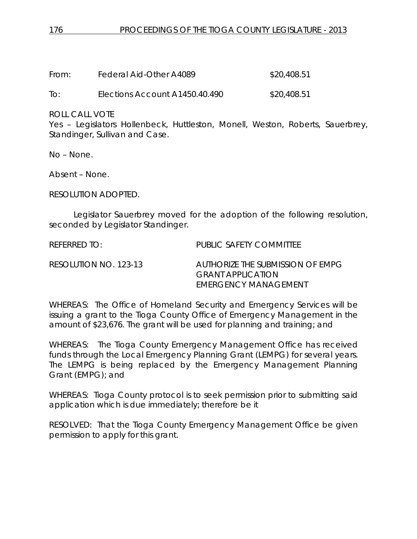| From: | Federal Aid-Other A4089        | \$20,408.51 |
|-------|--------------------------------|-------------|
| To:   | Elections Account A1450.40.490 | \$20,408.51 |

Yes – Legislators Hollenbeck, Huttleston, Monell, Weston, Roberts, Sauerbrey, Standinger, Sullivan and Case.

No – None.

Absent – None.

RESOLUTION ADOPTED.

Legislator Sauerbrey moved for the adoption of the following resolution, seconded by Legislator Standinger.

REFERRED TO: PUBLIC SAFETY COMMITTEE RESOLUTION NO. 123-13 *AUTHORIZE THE SUBMISSION OF EMPG GRANT APPLICATION EMERGENCY MANAGEMENT*

WHEREAS: The Office of Homeland Security and Emergency Services will be issuing a grant to the Tioga County Office of Emergency Management in the amount of \$23,676. The grant will be used for planning and training; and

WHEREAS: The Tioga County Emergency Management Office has received funds through the Local Emergency Planning Grant (LEMPG) for several years. The LEMPG is being replaced by the Emergency Management Planning Grant (EMPG); and

WHEREAS: Tioga County protocol is to seek permission prior to submitting said application which is due immediately; therefore be it

RESOLVED: That the Tioga County Emergency Management Office be given permission to apply for this grant.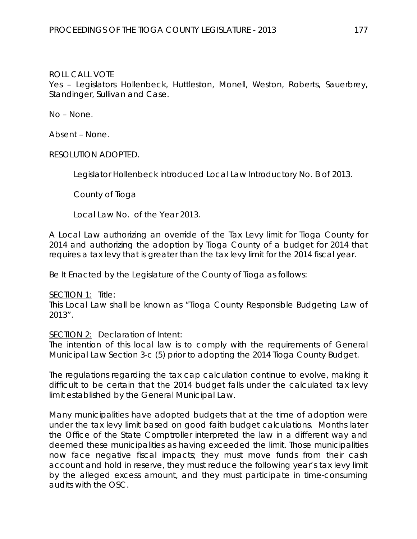Yes – Legislators Hollenbeck, Huttleston, Monell, Weston, Roberts, Sauerbrey, Standinger, Sullivan and Case.

No – None.

Absent – None.

RESOLUTION ADOPTED.

Legislator Hollenbeck introduced Local Law Introductory No. B of 2013.

County of Tioga

Local Law No. of the Year 2013.

A Local Law authorizing an override of the Tax Levy limit for Tioga County for 2014 and authorizing the adoption by Tioga County of a budget for 2014 that requires a tax levy that is greater than the tax levy limit for the 2014 fiscal year.

Be It Enacted by the Legislature of the County of Tioga as follows:

SECTION 1: Title:

This Local Law shall be known as "Tioga County Responsible Budgeting Law of 2013".

SECTION 2: Declaration of Intent:

The intention of this local law is to comply with the requirements of General Municipal Law Section 3-c (5) prior to adopting the 2014 Tioga County Budget.

The regulations regarding the tax cap calculation continue to evolve, making it difficult to be certain that the 2014 budget falls under the calculated tax levy limit established by the General Municipal Law.

Many municipalities have adopted budgets that at the time of adoption were under the tax levy limit based on good faith budget calculations. Months later the Office of the State Comptroller interpreted the law in a different way and deemed these municipalities as having exceeded the limit. Those municipalities now face negative fiscal impacts; they must move funds from their cash account and hold in reserve, they must reduce the following year's tax levy limit by the alleged excess amount, and they must participate in time-consuming audits with the OSC.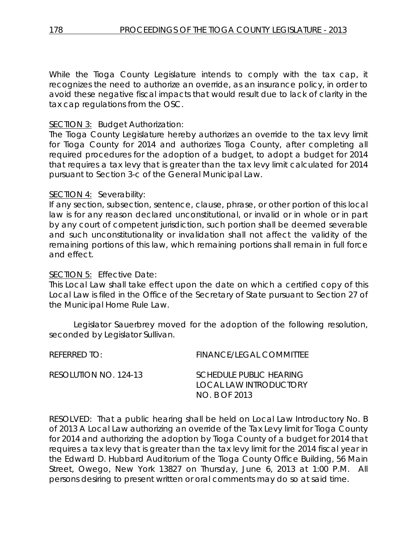While the Tioga County Legislature intends to comply with the tax cap, it recognizes the need to authorize an override, as an insurance policy, in order to avoid these negative fiscal impacts that would result due to lack of clarity in the tax cap regulations from the OSC.

## SECTION 3: Budget Authorization:

The Tioga County Legislature hereby authorizes an override to the tax levy limit for Tioga County for 2014 and authorizes Tioga County, after completing all required procedures for the adoption of a budget, to adopt a budget for 2014 that requires a tax levy that is greater than the tax levy limit calculated for 2014 pursuant to Section 3-c of the General Municipal Law.

## SECTION 4: Severability:

If any section, subsection, sentence, clause, phrase, or other portion of this local law is for any reason declared unconstitutional, or invalid or in whole or in part by any court of competent jurisdiction, such portion shall be deemed severable and such unconstitutionality or invalidation shall not affect the validity of the remaining portions of this law, which remaining portions shall remain in full force and effect.

#### SECTION 5: Effective Date:

This Local Law shall take effect upon the date on which a certified copy of this Local Law is filed in the Office of the Secretary of State pursuant to Section 27 of the Municipal Home Rule Law.

Legislator Sauerbrey moved for the adoption of the following resolution, seconded by Legislator Sullivan.

| RFFFRRFD TO:          | <b>FINANCE/LEGAL COMMITTEE</b>                                            |
|-----------------------|---------------------------------------------------------------------------|
| RESOLUTION NO. 124-13 | <b>SCHEDULE PUBLIC HEARING</b><br>LOCAL LAW INTRODUCTORY<br>NO. B OF 2013 |

RESOLVED: That a public hearing shall be held on Local Law Introductory No. B of 2013 A Local Law authorizing an override of the Tax Levy limit for Tioga County for 2014 and authorizing the adoption by Tioga County of a budget for 2014 that requires a tax levy that is greater than the tax levy limit for the 2014 fiscal year in the Edward D. Hubbard Auditorium of the Tioga County Office Building, 56 Main Street, Owego, New York 13827 on Thursday, June 6, 2013 at 1:00 P.M. All persons desiring to present written or oral comments may do so at said time.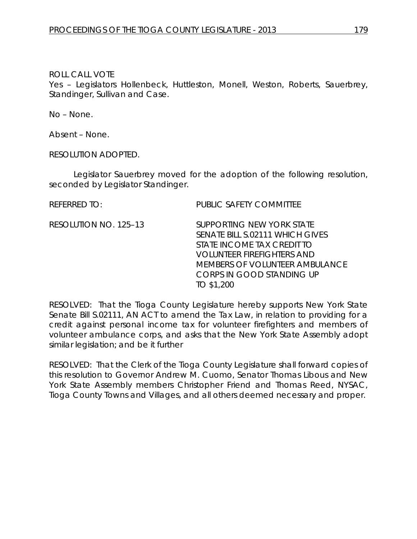Yes – Legislators Hollenbeck, Huttleston, Monell, Weston, Roberts, Sauerbrey, Standinger, Sullivan and Case.

No – None.

Absent – None.

RESOLUTION ADOPTED.

Legislator Sauerbrey moved for the adoption of the following resolution, seconded by Legislator Standinger.

REFERRED TO: PUBLIC SAFETY COMMITTEE

RESOLUTION NO. 125–13 *SUPPORTING NEW YORK STATE SENATE BILL S.02111 WHICH GIVES STATE INCOME TAX CREDIT TO VOLUNTEER FIREFIGHTERS AND MEMBERS OF VOLUNTEER AMBULANCE CORPS IN GOOD STANDING UP TO \$1,200*

RESOLVED: That the Tioga County Legislature hereby supports New York State Senate Bill S.02111, AN ACT to amend the Tax Law, in relation to providing for a credit against personal income tax for volunteer firefighters and members of volunteer ambulance corps, and asks that the New York State Assembly adopt similar legislation; and be it further

RESOLVED: That the Clerk of the Tioga County Legislature shall forward copies of this resolution to Governor Andrew M. Cuomo, Senator Thomas Libous and New York State Assembly members Christopher Friend and Thomas Reed, NYSAC, Tioga County Towns and Villages, and all others deemed necessary and proper.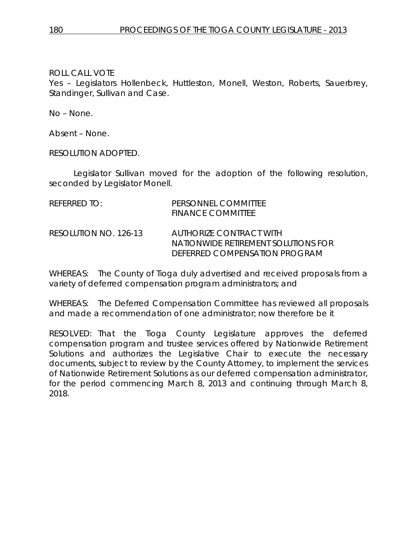Yes – Legislators Hollenbeck, Huttleston, Monell, Weston, Roberts, Sauerbrey, Standinger, Sullivan and Case.

No – None.

Absent – None.

RESOLUTION ADOPTED.

Legislator Sullivan moved for the adoption of the following resolution, seconded by Legislator Monell.

| REFERRED TO:          | PERSONNEL COMMITTEE<br><b>FINANCE COMMITTEE</b>                                                 |
|-----------------------|-------------------------------------------------------------------------------------------------|
| RESOLUTION NO. 126-13 | AUTHORIZE CONTRACT WITH<br>NATIONWIDE RETIREMENT SOLUTIONS FOR<br>DEFERRED COMPENSATION PROGRAM |

WHEREAS: The County of Tioga duly advertised and received proposals from a variety of deferred compensation program administrators; and

WHEREAS: The Deferred Compensation Committee has reviewed all proposals and made a recommendation of one administrator; now therefore be it

RESOLVED: That the Tioga County Legislature approves the deferred compensation program and trustee services offered by Nationwide Retirement Solutions and authorizes the Legislative Chair to execute the necessary documents, subject to review by the County Attorney, to implement the services of Nationwide Retirement Solutions as our deferred compensation administrator, for the period commencing March 8, 2013 and continuing through March 8, 2018.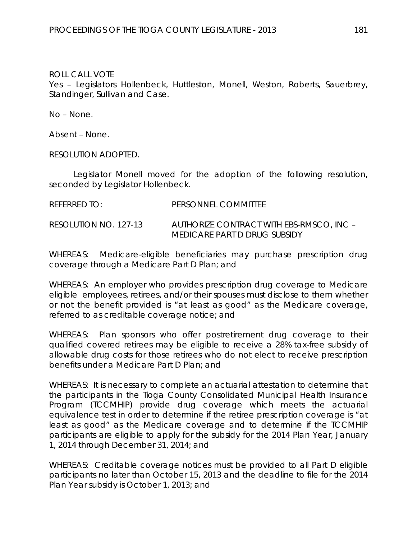Yes – Legislators Hollenbeck, Huttleston, Monell, Weston, Roberts, Sauerbrey, Standinger, Sullivan and Case.

No – None.

Absent – None.

RESOLUTION ADOPTED.

Legislator Monell moved for the adoption of the following resolution, seconded by Legislator Hollenbeck.

REFERRED TO: PERSONNEL COMMITTEE

RESOLUTION NO. 127-13 *AUTHORIZE CONTRACT WITH EBS-RMSCO, INC – MEDICARE PART D DRUG SUBSIDY*

WHEREAS: Medicare-eligible beneficiaries may purchase prescription drug coverage through a Medicare Part D Plan; and

WHEREAS: An employer who provides prescription drug coverage to Medicare eligible employees, retirees, and/or their spouses must disclose to them whether or not the benefit provided is "at least as good" as the Medicare coverage, referred to as creditable coverage notice; and

WHEREAS: Plan sponsors who offer postretirement drug coverage to their qualified covered retirees may be eligible to receive a 28% tax-free subsidy of allowable drug costs for those retirees who do not elect to receive prescription benefits under a Medicare Part D Plan; and

WHEREAS: It is necessary to complete an actuarial attestation to determine that the participants in the Tioga County Consolidated Municipal Health Insurance Program (TCCMHIP) provide drug coverage which meets the actuarial equivalence test in order to determine if the retiree prescription coverage is "at least as good" as the Medicare coverage and to determine if the TCCMHIP participants are eligible to apply for the subsidy for the 2014 Plan Year, January 1, 2014 through December 31, 2014; and

WHEREAS: Creditable coverage notices must be provided to all Part D eligible participants no later than October 15, 2013 and the deadline to file for the 2014 Plan Year subsidy is October 1, 2013; and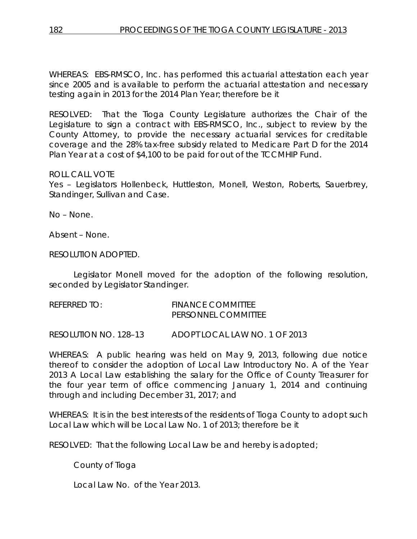WHEREAS: EBS-RMSCO, Inc. has performed this actuarial attestation each year since 2005 and is available to perform the actuarial attestation and necessary testing again in 2013 for the 2014 Plan Year; therefore be it

RESOLVED: That the Tioga County Legislature authorizes the Chair of the Legislature to sign a contract with EBS-RMSCO, Inc., subject to review by the County Attorney, to provide the necessary actuarial services for creditable coverage and the 28% tax-free subsidy related to Medicare Part D for the 2014 Plan Year at a cost of \$4,100 to be paid for out of the TCCMHIP Fund.

## ROLL CALL VOTE

Yes - Legislators Hollenbeck, Huttleston, Monell, Weston, Roberts, Sauerbrey, Standinger, Sullivan and Case.

No – None.

Absent – None.

RESOLUTION ADOPTED.

Legislator Monell moved for the adoption of the following resolution, seconded by Legislator Standinger.

| REFERRED TO: | <b>FINANCE COMMITTEE</b> |
|--------------|--------------------------|
|              | PERSONNEL COMMITTEE      |
|              |                          |

RESOLUTION NO. 128–13 *ADOPT LOCAL LAW NO. 1 OF 2013*

WHEREAS: A public hearing was held on May 9, 2013, following due notice thereof to consider the adoption of Local Law Introductory No. A of the Year 2013 A Local Law establishing the salary for the Office of County Treasurer for the four year term of office commencing January 1, 2014 and continuing through and including December 31, 2017; and

WHEREAS: It is in the best interests of the residents of Tioga County to adopt such Local Law which will be Local Law No. 1 of 2013; therefore be it

RESOLVED: That the following Local Law be and hereby is adopted;

County of Tioga

Local Law No. of the Year 2013.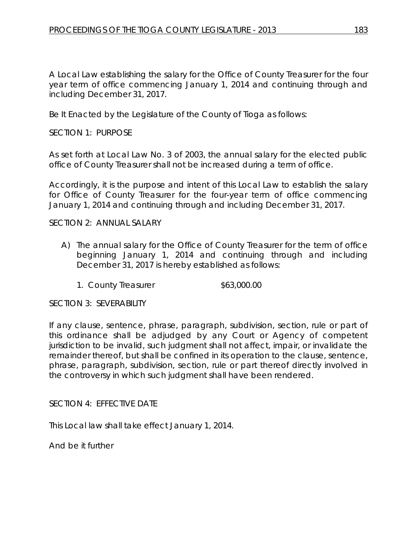A Local Law establishing the salary for the Office of County Treasurer for the four year term of office commencing January 1, 2014 and continuing through and including December 31, 2017.

Be It Enacted by the Legislature of the County of Tioga as follows:

SECTION 1: PURPOSE

As set forth at Local Law No. 3 of 2003, the annual salary for the elected public office of County Treasurer shall not be increased during a term of office.

Accordingly, it is the purpose and intent of this Local Law to establish the salary for Office of County Treasurer for the four-year term of office commencing January 1, 2014 and continuing through and including December 31, 2017.

SECTION 2: ANNUAL SALARY

- A) The annual salary for the Office of County Treasurer for the term of office beginning January 1, 2014 and continuing through and including December 31, 2017 is hereby established as follows:
	- 1. County Treasurer  $$63,000.00$

SECTION 3: SEVERABILITY

If any clause, sentence, phrase, paragraph, subdivision, section, rule or part of this ordinance shall be adjudged by any Court or Agency of competent jurisdiction to be invalid, such judgment shall not affect, impair, or invalidate the remainder thereof, but shall be confined in its operation to the clause, sentence, phrase, paragraph, subdivision, section, rule or part thereof directly involved in the controversy in which such judgment shall have been rendered.

SECTION 4: EFFECTIVE DATE

This Local law shall take effect January 1, 2014.

And be it further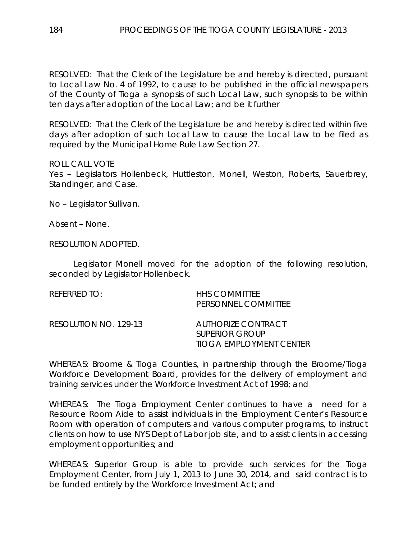RESOLVED: That the Clerk of the Legislature be and hereby is directed, pursuant to Local Law No. 4 of 1992, to cause to be published in the official newspapers of the County of Tioga a synopsis of such Local Law, such synopsis to be within ten days after adoption of the Local Law; and be it further

RESOLVED: That the Clerk of the Legislature be and hereby is directed within five days after adoption of such Local Law to cause the Local Law to be filed as required by the Municipal Home Rule Law Section 27.

#### ROLL CALL VOTE

Yes – Legislators Hollenbeck, Huttleston, Monell, Weston, Roberts, Sauerbrey, Standinger, and Case.

No – Legislator Sullivan.

Absent – None.

RESOLUTION ADOPTED.

Legislator Monell moved for the adoption of the following resolution, seconded by Legislator Hollenbeck.

| REFERRED TO:          | <b>HHS COMMITTEE</b><br>PERSONNEL COMMITTEE                            |
|-----------------------|------------------------------------------------------------------------|
| RESOLUTION NO. 129-13 | AUTHORIZE CONTRACT<br><b>SUPERIOR GROUP</b><br>TIOGA EMPLOYMENT CENTER |

WHEREAS: Broome & Tioga Counties, in partnership through the Broome/Tioga Workforce Development Board, provides for the delivery of employment and training services under the Workforce Investment Act of 1998; and

WHEREAS: The Tioga Employment Center continues to have a need for a Resource Room Aide to assist individuals in the Employment Center's Resource Room with operation of computers and various computer programs, to instruct clients on how to use NYS Dept of Labor job site, and to assist clients in accessing employment opportunities; and

WHEREAS: Superior Group is able to provide such services for the Tioga Employment Center, from July 1, 2013 to June 30, 2014, and said contract is to be funded entirely by the Workforce Investment Act; and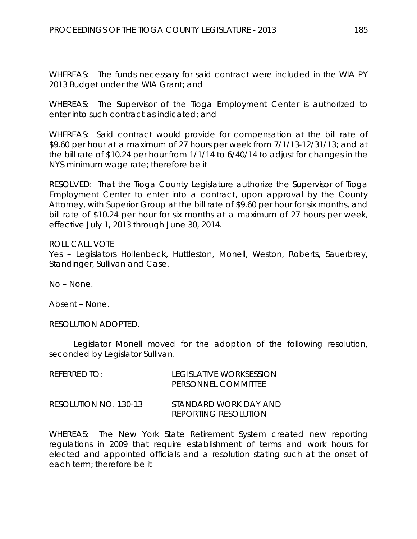WHEREAS: The funds necessary for said contract were included in the WIA PY 2013 Budget under the WIA Grant; and

WHEREAS: The Supervisor of the Tioga Employment Center is authorized to enter into such contract as indicated; and

WHEREAS: Said contract would provide for compensation at the bill rate of \$9.60 per hour at a maximum of 27 hours per week from 7/1/13-12/31/13; and at the bill rate of \$10.24 per hour from 1/1/14 to 6/40/14 to adjust for changes in the NYS minimum wage rate; therefore be it

RESOLVED: That the Tioga County Legislature authorize the Supervisor of Tioga Employment Center to enter into a contract, upon approval by the County Attorney, with Superior Group at the bill rate of \$9.60 per hour for six months, and bill rate of \$10.24 per hour for six months at a maximum of 27 hours per week, effective July 1, 2013 through June 30, 2014.

## ROLL CALL VOTE

Yes – Legislators Hollenbeck, Huttleston, Monell, Weston, Roberts, Sauerbrey, Standinger, Sullivan and Case.

No – None.

Absent – None.

RESOLUTION ADOPTED.

Legislator Monell moved for the adoption of the following resolution, seconded by Legislator Sullivan.

| $R$ FFFRRFD TO:       | LEGISLATIVE WORKSESSION<br>PERSONNEL COMMITTEE       |
|-----------------------|------------------------------------------------------|
| RESOLUTION NO. 130-13 | STANDARD WORK DAY AND<br><b>REPORTING RESOLUTION</b> |

WHEREAS: The New York State Retirement System created new reporting regulations in 2009 that require establishment of terms and work hours for elected and appointed officials and a resolution stating such at the onset of each term; therefore be it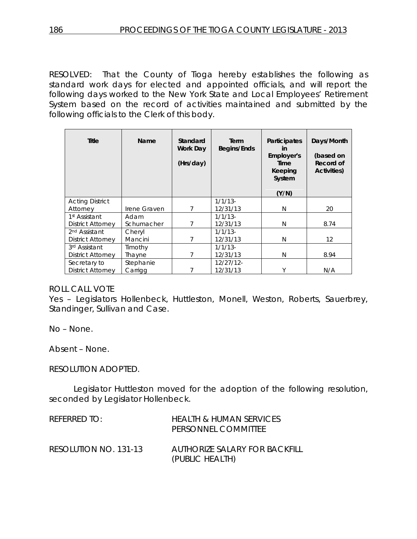RESOLVED: That the County of Tioga hereby establishes the following as standard work days for elected and appointed officials, and will report the following days worked to the New York State and Local Employees' Retirement System based on the record of activities maintained and submitted by the following officials to the Clerk of this body.

| <b>Title</b>              | Name         | Standard<br>Work Day<br>(Hrs/day) | Term<br>Begins/Ends | <b>Participates</b><br>in<br>Employer's<br>Time<br>Keeping<br>System<br>(Y/N) | Days/Month<br>(based on<br>Record of<br>Activities) |
|---------------------------|--------------|-----------------------------------|---------------------|-------------------------------------------------------------------------------|-----------------------------------------------------|
| <b>Acting District</b>    |              |                                   | $1/1/13$ -          |                                                                               |                                                     |
| Attorney                  | Irene Graven | 7                                 | 12/31/13            | N                                                                             | 20                                                  |
| 1st Assistant             | Adam         |                                   | $1/1/13$ -          |                                                                               |                                                     |
| District Attorney         | Schumacher   | 7                                 | 12/31/13            | N                                                                             | 8.74                                                |
| 2 <sup>nd</sup> Assistant | Cheryl       |                                   | $1/1/13$ -          |                                                                               |                                                     |
| District Attorney         | Mancini      | 7                                 | 12/31/13            | N                                                                             | 12                                                  |
| 3rd Assistant             | Timothy      |                                   | $1/1/13$ -          |                                                                               |                                                     |
| District Attorney         | Thayne       | 7                                 | 12/31/13            | N                                                                             | 8.94                                                |
| Secretary to              | Stephanie    |                                   | $12/27/12$ -        |                                                                               |                                                     |
| <b>District Attorney</b>  | Carrigg      |                                   | 12/31/13            | Υ                                                                             | N/A                                                 |

## ROLL CALL VOTE

Yes – Legislators Hollenbeck, Huttleston, Monell, Weston, Roberts, Sauerbrey, Standinger, Sullivan and Case.

No – None.

Absent – None.

RESOLUTION ADOPTED.

Legislator Huttleston moved for the adoption of the following resolution, seconded by Legislator Hollenbeck.

| REFERRED TO:          | HEALTH & HUMAN SERVICES<br>PERSONNEL COMMITTEE   |
|-----------------------|--------------------------------------------------|
| RESOLUTION NO. 131-13 | AUTHORIZE SALARY FOR BACKFILL<br>(PUBLIC HEALTH) |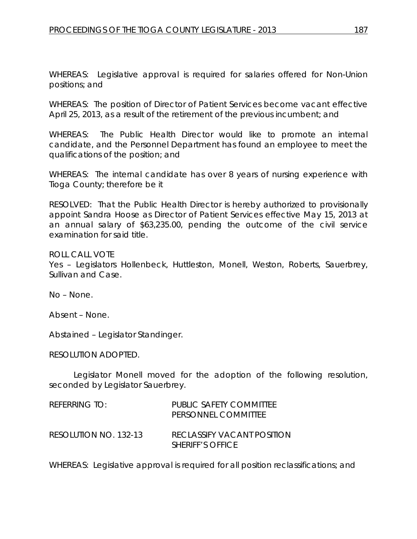WHEREAS: Legislative approval is required for salaries offered for Non-Union positions; and

WHEREAS: The position of Director of Patient Services become vacant effective April 25, 2013, as a result of the retirement of the previous incumbent; and

WHEREAS: The Public Health Director would like to promote an internal candidate, and the Personnel Department has found an employee to meet the qualifications of the position; and

WHEREAS: The internal candidate has over 8 years of nursing experience with Tioga County; therefore be it

RESOLVED: That the Public Health Director is hereby authorized to provisionally appoint Sandra Hoose as Director of Patient Services effective May 15, 2013 at an annual salary of \$63,235.00, pending the outcome of the civil service examination for said title.

ROLL CALL VOTE

Yes – Legislators Hollenbeck, Huttleston, Monell, Weston, Roberts, Sauerbrey, Sullivan and Case.

No – None.

Absent – None.

Abstained – Legislator Standinger.

RESOLUTION ADOPTED.

Legislator Monell moved for the adoption of the following resolution, seconded by Legislator Sauerbrey.

| REFERRING TO:         | PUBLIC SAFETY COMMITTEE<br>PERSONNEL COMMITTEE        |
|-----------------------|-------------------------------------------------------|
| RESOLUTION NO. 132-13 | RECLASSIFY VACANT POSITION<br><b>SHERIFF'S OFFICE</b> |

WHEREAS: Legislative approval is required for all position reclassifications; and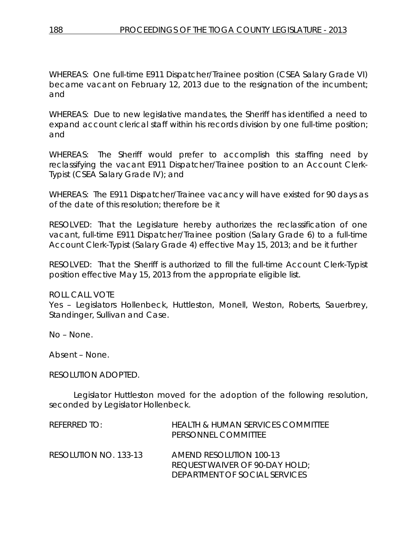WHEREAS: One full-time E911 Dispatcher/Trainee position (CSEA Salary Grade VI) became vacant on February 12, 2013 due to the resignation of the incumbent; and

WHEREAS: Due to new legislative mandates, the Sheriff has identified a need to expand account clerical staff within his records division by one full-time position; and

WHEREAS: The Sheriff would prefer to accomplish this staffing need by reclassifying the vacant E911 Dispatcher/Trainee position to an Account Clerk-Typist (CSEA Salary Grade IV); and

WHEREAS: The E911 Dispatcher/Trainee vacancy will have existed for 90 days as of the date of this resolution; therefore be it

RESOLVED: That the Legislature hereby authorizes the reclassification of one vacant, full-time E911 Dispatcher/Trainee position (Salary Grade 6) to a full-time Account Clerk-Typist (Salary Grade 4) effective May 15, 2013; and be it further

RESOLVED: That the Sheriff is authorized to fill the full-time Account Clerk-Typist position effective May 15, 2013 from the appropriate eligible list.

#### ROLL CALL VOTE

Yes – Legislators Hollenbeck, Huttleston, Monell, Weston, Roberts, Sauerbrey, Standinger, Sullivan and Case.

No – None.

Absent – None.

#### RESOLUTION ADOPTED.

Legislator Huttleston moved for the adoption of the following resolution, seconded by Legislator Hollenbeck.

| REFERRED TO:          | <b>HEALTH &amp; HUMAN SERVICES COMMITTEE</b><br>PERSONNEL COMMITTEE |
|-----------------------|---------------------------------------------------------------------|
| RESOLUTION NO. 133-13 | <b>AMEND RESOLUTION 100-13</b><br>REQUEST WAIVER OF 90-DAY HOLD;    |
|                       | DEPARTMENT OF SOCIAL SERVICES                                       |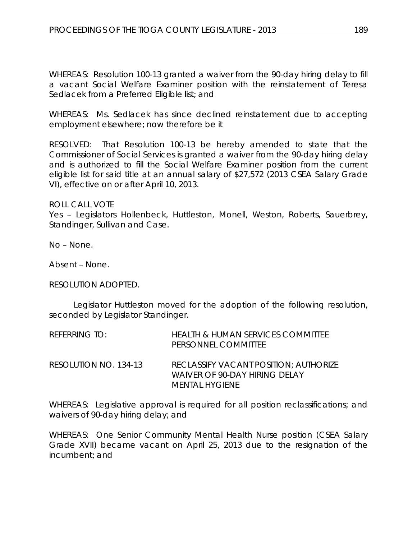WHEREAS: Resolution 100-13 granted a waiver from the 90-day hiring delay to fill a vacant Social Welfare Examiner position with the reinstatement of Teresa Sedlacek from a Preferred Eligible list; and

WHEREAS: Ms. Sedlacek has since declined reinstatement due to accepting employment elsewhere; now therefore be it

RESOLVED:That Resolution 100-13 be hereby amended to state that the Commissioner of Social Services is granted a waiver from the 90-day hiring delay and is authorized to fill the Social Welfare Examiner position from the current eligible list for said title at an annual salary of \$27,572 (2013 CSEA Salary Grade VI), effective on or after April 10, 2013.

ROLL CALL VOTE

Yes – Legislators Hollenbeck, Huttleston, Monell, Weston, Roberts, Sauerbrey, Standinger, Sullivan and Case.

No – None.

Absent – None.

#### RESOLUTION ADOPTED.

Legislator Huttleston moved for the adoption of the following resolution, seconded by Legislator Standinger.

| REFERRING TO:         | <b>HEALTH &amp; HUMAN SERVICES COMMITTEE</b><br>PERSONNEL COMMITTEE                             |
|-----------------------|-------------------------------------------------------------------------------------------------|
| RESOLUTION NO. 134-13 | RECLASSIFY VACANT POSITION: AUTHORIZE<br>WAIVER OF 90-DAY HIRING DELAY<br><b>MENTAL HYGIENE</b> |

WHEREAS: Legislative approval is required for all position reclassifications; and waivers of 90-day hiring delay; and

WHEREAS: One Senior Community Mental Health Nurse position (CSEA Salary Grade XVII) became vacant on April 25, 2013 due to the resignation of the incumbent; and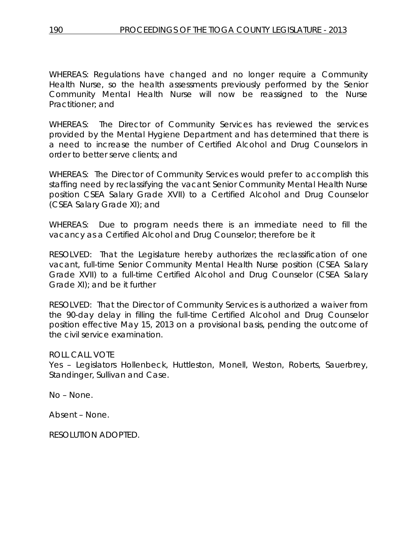WHEREAS: Regulations have changed and no longer require a Community Health Nurse, so the health assessments previously performed by the Senior Community Mental Health Nurse will now be reassigned to the Nurse Practitioner; and

WHEREAS: The Director of Community Services has reviewed the services provided by the Mental Hygiene Department and has determined that there is a need to increase the number of Certified Alcohol and Drug Counselors in order to better serve clients; and

WHEREAS: The Director of Community Services would prefer to accomplish this staffing need by reclassifying the vacant Senior Community Mental Health Nurse position CSEA Salary Grade XVII) to a Certified Alcohol and Drug Counselor (CSEA Salary Grade XI); and

WHEREAS: Due to program needs there is an immediate need to fill the vacancy as a Certified Alcohol and Drug Counselor; therefore be it

RESOLVED: That the Legislature hereby authorizes the reclassification of one vacant, full-time Senior Community Mental Health Nurse position (CSEA Salary Grade XVII) to a full-time Certified Alcohol and Drug Counselor (CSEA Salary Grade XI); and be it further

RESOLVED: That the Director of Community Services is authorized a waiver from the 90-day delay in filling the full-time Certified Alcohol and Drug Counselor position effective May 15, 2013 on a provisional basis, pending the outcome of the civil service examination.

## ROLL CALL VOTE

Yes - Legislators Hollenbeck, Huttleston, Monell, Weston, Roberts, Sauerbrey, Standinger, Sullivan and Case.

No – None.

Absent – None.

RESOLUTION ADOPTED.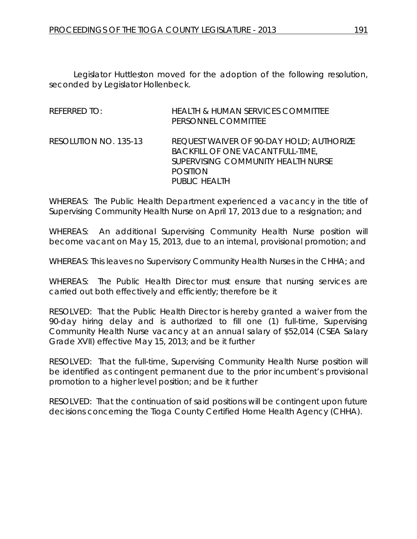Legislator Huttleston moved for the adoption of the following resolution, seconded by Legislator Hollenbeck.

| <b>REFERRED TO:</b>   | <b>HEALTH &amp; HUMAN SERVICES COMMITTEE</b><br>PERSONNEL COMMITTEE                                                                                                          |
|-----------------------|------------------------------------------------------------------------------------------------------------------------------------------------------------------------------|
| RESOLUTION NO. 135-13 | <b>REQUEST WAIVER OF 90-DAY HOLD; AUTHORIZE</b><br><b>BACKFILL OF ONE VACANT FULL-TIME,</b><br>SUPERVISING COMMUNITY HEALTH NURSE<br><b>POSITION</b><br><b>PUBLIC HEALTH</b> |

WHEREAS: The Public Health Department experienced a vacancy in the title of Supervising Community Health Nurse on April 17, 2013 due to a resignation; and

WHEREAS: An additional Supervising Community Health Nurse position will become vacant on May 15, 2013, due to an internal, provisional promotion; and

WHEREAS: This leaves no Supervisory Community Health Nurses in the CHHA; and

WHEREAS: The Public Health Director must ensure that nursing services are carried out both effectively and efficiently; therefore be it

RESOLVED: That the Public Health Director is hereby granted a waiver from the 90-day hiring delay and is authorized to fill one (1) full-time, Supervising Community Health Nurse vacancy at an annual salary of \$52,014 (CSEA Salary Grade XVII) effective May 15, 2013; and be it further

RESOLVED: That the full-time, Supervising Community Health Nurse position will be identified as contingent permanent due to the prior incumbent's provisional promotion to a higher level position; and be it further

RESOLVED: That the continuation of said positions will be contingent upon future decisions concerning the Tioga County Certified Home Health Agency (CHHA).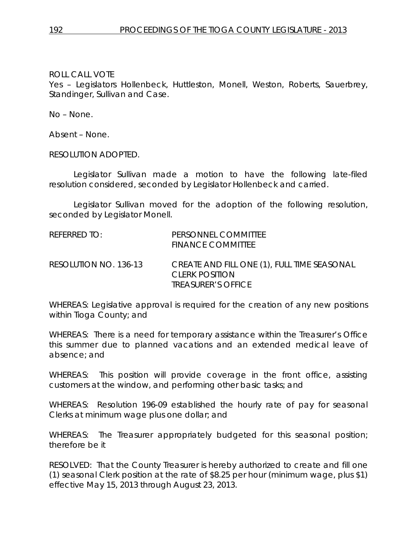Yes – Legislators Hollenbeck, Huttleston, Monell, Weston, Roberts, Sauerbrey, Standinger, Sullivan and Case.

No – None.

Absent – None.

RESOLUTION ADOPTED.

Legislator Sullivan made a motion to have the following late-filed resolution considered, seconded by Legislator Hollenbeck and carried.

Legislator Sullivan moved for the adoption of the following resolution, seconded by Legislator Monell.

| REFERRED TO:          | PERSONNEL COMMITTEE<br><b>FINANCE COMMITTEE</b>                                                          |
|-----------------------|----------------------------------------------------------------------------------------------------------|
| RESOLUTION NO. 136-13 | CREATE AND FILL ONE (1), FULL TIME SEASONAL<br><b>CLERK POSITION</b><br><i><b>TREASURER'S OFFICE</b></i> |

WHEREAS: Legislative approval is required for the creation of any new positions within Tioga County; and

WHEREAS: There is a need for temporary assistance within the Treasurer's Office this summer due to planned vacations and an extended medical leave of absence; and

WHEREAS: This position will provide coverage in the front office, assisting customers at the window, and performing other basic tasks; and

WHEREAS: Resolution 196-09 established the hourly rate of pay for seasonal Clerks at minimum wage plus one dollar; and

WHEREAS: The Treasurer appropriately budgeted for this seasonal position; therefore be it

RESOLVED: That the County Treasurer is hereby authorized to create and fill one (1) seasonal Clerk position at the rate of \$8.25 per hour (minimum wage, plus \$1) effective May 15, 2013 through August 23, 2013.